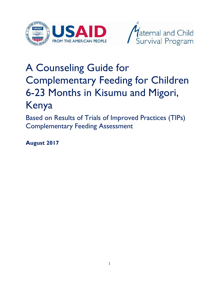



# A Counseling Guide for Complementary Feeding for Children 6-23 Months in Kisumu and Migori, Kenya

Based on Results of Trials of Improved Practices (TIPs) Complementary Feeding Assessment

**August 2017**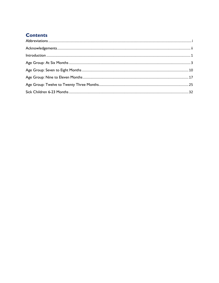### **Contents**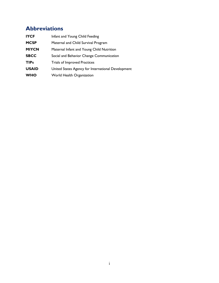# <span id="page-2-0"></span>**Abbreviations**

| <b>IYCF</b>  | Infant and Young Child Feeding                     |
|--------------|----------------------------------------------------|
| <b>MCSP</b>  | Maternal and Child Survival Program                |
| <b>MIYCN</b> | Maternal Infant and Young Child Nutrition          |
| <b>SBCC</b>  | Social and Behavior Change Communication           |
| <b>TIPs</b>  | <b>Trials of Improved Practices</b>                |
| <b>USAID</b> | United States Agency for International Development |
| <b>WHO</b>   | World Health Organization                          |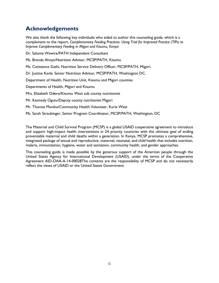### <span id="page-3-0"></span>**Acknowledgements**

We also thank the following key individuals who aided to author this counseling guide, which is a complement to the report, *Complementary Feeding Practices: Using Trial for Improved Practice (TIPs) to Improve Complementary Feeding in Migori and Kisumu, Kenya:*

Dr. Salome Wawire/PATH Independent Consultant

Ms. Brenda Ahoya/Nutrition Advisor, MCSP/PATH, Kisumu

Ms. Constance Gathi, Nutrition Service Delivery Officer, MCSP/PATH, Migori,

Dr. Justine Kavle, Senior Nutrition Advisor, MCSP/PATH, Washington DC.

Department of Health, Nutrition Unit, Kisumu and Migori counties

Departments of Health, Migori and Kisumu

Mrs. Elizabeth Odero/Kisumu West sub county nutritionist

Mr. Kennedy Ogutu/Deputy county nutritionist Migori

Mr. Thomas Muniko/Community Health Volunteer, Kuria West

Ms. Sarah Straubinger, Senior Program Coordinator, MCSP/PATH, Washington, DC

The Maternal and Child Survival Program (MCSP) is a global USAID cooperative agreement to introduce and support high-impact health interventions in 24 priority countries with the ultimate goal of ending preventable maternal and child deaths within a generation. In Kenya, MCSP promotes a comprehensive, integrated package of sexual and reproductive, maternal, neonatal, and child health that includes nutrition, malaria, immunization, hygiene, water and sanitation, community health, and gender approaches.

This counseling guide is made possible by the generous support of the American people through the United States Agency for International Development (USAID), under the terms of the Cooperative Agreement AID-OAA-A-14-00028The contents are the responsibility of MCSP and do not necessarily reflect the views of USAID or the United States Government.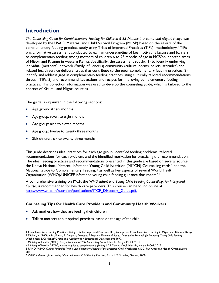### <span id="page-4-0"></span>**Introduction**

*The Counseling Guide for Complementary Feeding for Children 6-23 Months in Kisumu and Migori, Kenya* was developed by the USAID Maternal and Child Survival Program (MCSP) based on the results of the complementary feeding practices study using Trials of Improved Practices (TIPs)<sup>1</sup> methodology.<sup>2</sup> TIPs was a formative assessment conducted to gain an understanding of key motivating factors and barriers to complementary feeding among mothers of children 6 to 23 months of age in MCSP-supported areas of Migori and Kisumu in western Kenya. Specifically, the assessment sought: 1) to identify underlying individual (mothers), network (family influencers) community (cultural norms, beliefs, attitudes) and related health service delivery issues that contribute to the poor complementary feeding practices; 2) identify and address gaps in complementary feeding practices using culturally tailored recommendations through TIPs; 3) and recommend key actions and recipes for improving complementary feeding practices. This collection information was used to develop the counseling guide, which is tailored to the context of Kisumu and Migori counties.

The guide is organized in the following sections:

- Age group: At six months
- Age group: seven to eight months
- Age group: nine to eleven months
- Age group: twelve to twenty three months
- Sick children, six to twenty-three months

This guide describes ideal practices for each age group, identified feeding problems, tailored recommendations for each problem, and the identified motivation for practicing the recommendation. The ideal feeding practices and recommendations presented in this guide are based on several source: the Kenya National Maternal Infant and Young Child Nutrition (MIYCN) Counselling cards; <sup>3</sup> and the National Guide to Complementary Feeding; <sup>4</sup> as well as key aspects of several World Health Organization (WHO)/UNICEF infant and young child feeding guidance documents.<sup>5,6</sup>

A comprehensive training on IYCF, the *WHO Infant and Young Child Feeding Counselling: An Integrated Course,* is recommended for health care providers. This course can be found online at [http://www.who.int/nutrition/publications/IYCF\\_Directors\\_Guide.pdf.](http://www.who.int/nutrition/publications/IYCF_Directors_Guide.pdf)

#### **Counseling Tips for Health Care Providers and Community Health Workers**

- Ask mothers how they are feeding their children.
- Talk to mothers about optimal practices, based on the age of the child.

 $\overline{\phantom{a}}$ 1 Complementary Feeding Practices: Using Trial for Improved Practice (TIPs) to Improve Complementary Feeding in Migori and Kisumu, Kenya 2 Dicken, K, Griffiths M., Piwoz, E. *Design by Dialogue: A Program Planner's Guide to Consultative Research for Improving Young Child Feeding.* 

Washington, DC: Manoff Group and Academy for Educational Development; 1997.

<sup>3</sup> Ministry of Health (MOH), Kenya. *National MIYCN Counselling Cards*. Nairobi, Kenya: MOH; 2016.

<sup>4</sup> Ministry of Health (MOH), Kenya. *A guide to complementary feeding 6-23 Months*. *Draft.* Nairobi, Kenya: MOH; 2017.

<sup>5</sup> PAHO, WHO. *Guiding Principles for the Complementary Feeding of the Breastfed Child.* Washington, DC: Pan American Health Organization; 2003.

<sup>6</sup> WHO *Indicators for Assessing Infant and Young Child Feeding Practices*, Parts 1, 2, 3 series, Geneva, 2008.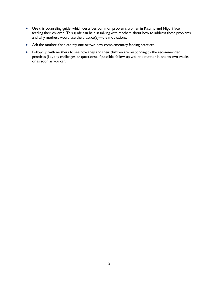- Use this counseling guide, which describes common problems women in Kisumu and Migori face in feeding their children. This guide can help in talking with mothers about how to address these problems, and why mothers would use the practice(s)—the motivations.
- Ask the mother if she can try one or two new complementary feeding practices.
- Follow up with mothers to see how they and their children are responding to the recommended practices (i.e., any challenges or questions). If possible, follow up with the mother in one to two weeks or as soon as you can.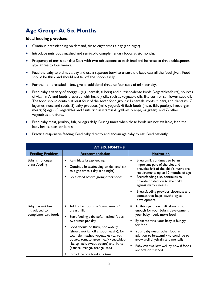# <span id="page-6-0"></span>**Age Group: At Six Months**

#### **Ideal feeding practices**:

- Continue breastfeeding on demand, six to eight times a day (and night).
- Introduce nutritious mashed and semi-solid complementary foods at six months.
- Frequency of meals per day: Start with two tablespoons at each feed and increase to three tablespoons after three to four weeks.
- Feed the baby two times a day and use a separate bowl to ensure the baby eats all the food given. Food should be thick and should not fall off the spoon easily.
- For the non-breastfed infant, give an additional three to four cups of milk per day.
- Feed baby a variety of energy (e.g., cereals, tubers) and nutrient-dense foods (vegetables/fruits), sources of vitamin A, and foods prepared with healthy oils, such as vegetable oils, like corn or sunflower seed oil. The food should contain at least four of the seven food groups: 1) cereals, roots, tubers, and plantains; 2) legumes, nuts, and seeds; 3) dairy products (milk, yogurt); 4) flesh foods (meat, fish, poultry, liver/organ meats; 5) eggs; 6) vegetables and fruits rich in vitamin A (yellow, orange, or green); and 7) other vegetables and fruits.
- Feed baby meat, poultry, fish, or eggs daily. During times when these foods are not available, feed the baby beans, peas, or lentils.

| <b>AT SIX MONTHS</b>                                      |                                                                                                                                                                                                                                                                                                                                                            |                                                                                                                                                                                                                                                              |
|-----------------------------------------------------------|------------------------------------------------------------------------------------------------------------------------------------------------------------------------------------------------------------------------------------------------------------------------------------------------------------------------------------------------------------|--------------------------------------------------------------------------------------------------------------------------------------------------------------------------------------------------------------------------------------------------------------|
| <b>Feeding Problem</b>                                    | Recommendation                                                                                                                                                                                                                                                                                                                                             | <b>Motivation</b>                                                                                                                                                                                                                                            |
| Baby is no longer<br>breastfeeding                        | Re-initiate breastfeeding<br>٠<br>Continue breastfeeding on demand, six<br>to eight times a day (and night)<br>Breastfeed before giving other foods<br>п                                                                                                                                                                                                   | Breastmilk continues to be an<br>٠<br>important part of the diet and<br>provides half of the child's nutritional<br>requirements up to 12 months of age<br>Breastfeeding also continues to<br>٠<br>provide protection to the child<br>against many illnesses |
|                                                           |                                                                                                                                                                                                                                                                                                                                                            | Breastfeeding provides closeness and<br>contact that helps psychological<br>development                                                                                                                                                                      |
| Baby has not been<br>introduced to<br>complementary foods | Add other foods to "complement"<br>breastmilk                                                                                                                                                                                                                                                                                                              | At this age, breastmilk alone is not<br>enough for your baby's development;<br>your baby needs more food.                                                                                                                                                    |
|                                                           | Start feeding baby soft, mashed foods<br>two times per day<br>Food should be thick, not watery<br>$\blacksquare$<br>(should not fall off a spoon easily); for<br>example, mashed vegetables (carrot,<br>potato, tomato, green leafy vegetables-<br>like spinach, sweet potato) and fruits<br>(banana, mango, orange, etc.)<br>Introduce one food at a time | By six months, your baby is hungry<br>for food<br>Your baby needs other food in<br>addition to breastmilk to continue to<br>grow well physically and mentally<br>Baby can swallow well by now if foods<br>are soft or mashed                                 |

Practice responsive feeding: Feed baby directly and encourage baby to eat. Feed patiently.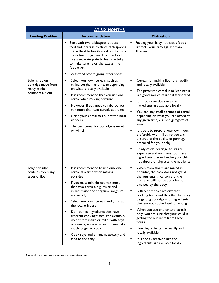| <b>AT SIX MONTHS</b>                                                    |                                                                                                                                                                                                                                                                                                                                                                                                                                                                                                                                                      |                                                                                                                                                                                                                                                                                                                                                                                                                                                                                                                                                                                                                                                                                                 |
|-------------------------------------------------------------------------|------------------------------------------------------------------------------------------------------------------------------------------------------------------------------------------------------------------------------------------------------------------------------------------------------------------------------------------------------------------------------------------------------------------------------------------------------------------------------------------------------------------------------------------------------|-------------------------------------------------------------------------------------------------------------------------------------------------------------------------------------------------------------------------------------------------------------------------------------------------------------------------------------------------------------------------------------------------------------------------------------------------------------------------------------------------------------------------------------------------------------------------------------------------------------------------------------------------------------------------------------------------|
| <b>Feeding Problem</b>                                                  | Recommendation                                                                                                                                                                                                                                                                                                                                                                                                                                                                                                                                       | <b>Motivation</b>                                                                                                                                                                                                                                                                                                                                                                                                                                                                                                                                                                                                                                                                               |
|                                                                         | Start with two tablespoons at each<br>feed and increase to three tablespoons<br>in the third to fourth week as the baby<br>needs time to get used to new food.<br>Use a separate plate to feed the baby<br>to make sure he or she eats all the<br>food given.                                                                                                                                                                                                                                                                                        | Feeding your baby nutritious foods<br>protects your baby against many<br>illnesses                                                                                                                                                                                                                                                                                                                                                                                                                                                                                                                                                                                                              |
|                                                                         | Breastfeed before giving other foods                                                                                                                                                                                                                                                                                                                                                                                                                                                                                                                 |                                                                                                                                                                                                                                                                                                                                                                                                                                                                                                                                                                                                                                                                                                 |
| Baby is fed on<br>porridge made from<br>ready-made,<br>commercial flour | Select your own cereals, such as<br>٠<br>millet, sorghum and maize depending<br>on what is locally available<br>It is recommended that you use one<br>٠<br>cereal when making porridge<br>However, if you need to mix, do not<br>٠<br>mix more than two cereals at a time<br>Grind your cereal to flour at the local<br>٠<br>grinders<br>The best cereal for porridge is millet<br>٠<br>or wimbi                                                                                                                                                     | Cereals for making flour are readily<br>٠<br>and locally available<br>The preferred cereal is millet since it<br>is a good source of iron if fermented<br>It is not expensive since the<br>٠<br>ingredients are available locally<br>You can buy small portions of cereal<br>depending on what you can afford at<br>any given time, e.g. one gorogoro <sup>7</sup> of<br>wimbi<br>It is best to prepare your own flour,<br>٠<br>preferably with millet, so you are<br>ensured of the quality of porridge<br>prepared for your baby<br>Ready-made porridge flours are<br>٠<br>expensive and may have too many<br>ingredients that will make your child<br>not absorb or digest all the nutrients |
| Baby porridge<br>contains too many<br>types of flour                    | It is recommended to use only one<br>٠<br>cereal at a time when making<br>porridge<br>If you must mix, do not mix more<br>٠<br>than two cereals, e.g. maize and<br>millet; maize and sorghum; sorghum<br>and millet, etc.<br>Select your own cereals and grind at<br>٠<br>the local grinders<br>Do not mix ingredients that have<br>٠<br>different cooking times. For example,<br>do not mix maize or millet with soya<br>or omena, since soya and omena take<br>much longer to cook.<br>Cook soya and omena separately and<br>٠<br>feed to the baby | When many flours are mixed in<br>٠<br>porridge, the baby does not get all<br>the nutrients since some of the<br>nutrients will not be absorbed or<br>digested by the body<br>Different foods have different<br>cooking times and thus the child may<br>be getting porridge with ingredients<br>that are not cooked well or enough<br>When you use one or two cereals<br>٠<br>only, you are sure that your child is<br>getting the nutrients from these<br>flours<br>Flour ingredients are readily and<br>٠<br>locally available<br>It is not expensive since the<br>٠<br>ingredients are available locally                                                                                      |

 $\overline{\phantom{a}}$ 7 A local measure that's equivalent to two kilograms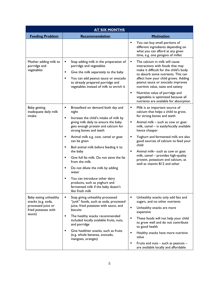|                                                                                                    | <b>AT SIX MONTHS</b>                                                                                                                                                                                                                                                                                                                                                                                                                                                                                                                                                               |                                                                                                                                                                                                                                                                                                                                                                                                                                                                 |
|----------------------------------------------------------------------------------------------------|------------------------------------------------------------------------------------------------------------------------------------------------------------------------------------------------------------------------------------------------------------------------------------------------------------------------------------------------------------------------------------------------------------------------------------------------------------------------------------------------------------------------------------------------------------------------------------|-----------------------------------------------------------------------------------------------------------------------------------------------------------------------------------------------------------------------------------------------------------------------------------------------------------------------------------------------------------------------------------------------------------------------------------------------------------------|
| <b>Feeding Problem</b>                                                                             | Recommendation                                                                                                                                                                                                                                                                                                                                                                                                                                                                                                                                                                     | <b>Motivation</b>                                                                                                                                                                                                                                                                                                                                                                                                                                               |
|                                                                                                    |                                                                                                                                                                                                                                                                                                                                                                                                                                                                                                                                                                                    | You can buy small portions of<br>different ingredients depending on<br>what you can afford at any given<br>time, e.g. one gorogoro of millet                                                                                                                                                                                                                                                                                                                    |
| Mother adding milk to<br>porridge and<br>vegetables                                                | Stop adding milk in the preparation of<br>porridge and vegetables<br>Give the milk separately to the baby<br>٠<br>You can add peanut sauce or avocado<br>٠<br>to already prepared porridge and<br>vegetables instead of milk to enrich it                                                                                                                                                                                                                                                                                                                                          | The calcium in milk will cause<br>٠<br>interactions with foods that may<br>make it difficult for the child's body<br>to absorb some nutrients. This can<br>affect how your child grows. Adding<br>peanut sauce or avocado improves<br>nutritive value, taste and satiety<br>Nutritive value of porridge and<br>٠<br>vegetables is optimized because all<br>nutrients are available for absorption                                                               |
| Baby getting<br>inadequate daily milk<br>intake                                                    | Breastfeed on demand both day and<br>٠<br>night<br>Increase the child's intake of milk by<br>٠<br>giving milk daily to ensure the baby<br>gets enough protein and calcium for<br>strong bones and teeth<br>Animal milk e.g. cow, camel or goat<br>٠<br>can be given<br>٠<br>Boil animal milk before feeding it to<br>the baby<br>Give full fat milk. Do not sieve the fat<br>٠<br>from the milk.<br>Do not dilute the milk by adding<br>٠<br>water<br>You can introduce other dairy<br>Е<br>products, such as yoghurt and<br>fermented milk if the baby doesn't<br>like fresh milk | Milk is an important source of<br>Ξ<br>calcium that helps a child to grow,<br>for strong bones and teeth<br>Animal milk – such as cow or goat<br>٠<br>milk, camel - is easily/locally available<br>hence cheaper<br>Yoghurt and fermented milk are also<br>good sources of calcium to feed your<br>child<br>Animal milk- such as cow or goat<br>٠<br>milk, camel - provides high-quality<br>protein, potassium and calcium, as<br>well as vitamin B12 and other |
| Baby eating unhealthy<br>snacks (e.g. soda,<br>processed juice or<br>fried potatoes with<br>sauce) | Stop giving unhealthy processed<br>٠<br>"junk" foods, such as soda, processed<br>juice, fried potatoes with sauce, and<br>biscuits<br>The healthy snacks recommended<br>٠<br>included locally available fruits, nuts,<br>and porridge<br>Give healthier snacks, such as fruits<br>٠<br>(e.g. whole bananas, avocado,<br>mangoes, oranges)                                                                                                                                                                                                                                          | ٠<br>Unhealthy snacks only add fats and<br>sugars, and no other nutrients<br>٠<br>Unhealthy snacks are more<br>expensive<br>These foods will not help your child<br>to grow well and do not contribute<br>to good health<br>٠<br>Healthy snacks have more nutritive<br>value<br>٠<br>Fruits and nuts - such as peanuts -<br>are available locally and affordable                                                                                                |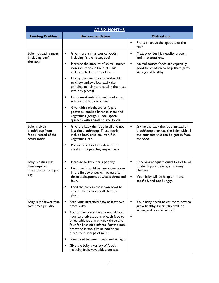|                                                                          | <b>AT SIX MONTHS</b>                                                                                                                                                                                                                                    |                                                                                                                                   |
|--------------------------------------------------------------------------|---------------------------------------------------------------------------------------------------------------------------------------------------------------------------------------------------------------------------------------------------------|-----------------------------------------------------------------------------------------------------------------------------------|
| <b>Feeding Problem</b>                                                   | Recommendation                                                                                                                                                                                                                                          | <b>Motivation</b>                                                                                                                 |
|                                                                          |                                                                                                                                                                                                                                                         | Fruits improve the appetite of the<br>child                                                                                       |
| Baby not eating meat<br>(including beef,                                 | Give more animal source foods,<br>٠<br>including fish, chicken, beef                                                                                                                                                                                    | Meat provides high quality protein<br>٠<br>and micronutrients                                                                     |
| chicken)                                                                 | ٠<br>Increase the amount of animal source<br>iron-rich foods in the diet. This<br>includes chicken or beef liver.                                                                                                                                       | Animal source foods are especially<br>٠<br>good for children to help them grow<br>strong and healthy                              |
|                                                                          | Modify the meat to enable the child<br>٠<br>to chew and swallow easily (i.e.<br>grinding, mincing and cutting the meat<br>into tiny pieces)                                                                                                             |                                                                                                                                   |
|                                                                          | Cook meat until it is well cooked and<br>П<br>soft for the baby to chew                                                                                                                                                                                 |                                                                                                                                   |
|                                                                          | Give with carbohydrates (ugali,<br>٠<br>potatoes, cooked bananas, rice) and<br>vegetables (osuga, kunde, apoth<br>spinach) with animal source foods                                                                                                     |                                                                                                                                   |
| Baby is given<br>broth/soup from<br>foods instead of the<br>actual foods | Give the baby the food itself and not<br>٠<br>just the broth/soup. These foods<br>include beef, chicken, liver, fish,<br>vegetables, etc.                                                                                                               | Giving the baby the food instead of<br>broth/soup provides the baby with all<br>the nutrients that can be gotten from<br>the food |
|                                                                          | Prepare the food as indicated for<br>٠<br>meat and vegetables, respectively                                                                                                                                                                             |                                                                                                                                   |
| Baby is eating less<br>than required                                     | ٠<br>Increase to two meals per day<br>٠                                                                                                                                                                                                                 | Receiving adequate quantities of food<br>٠<br>protects your baby against many                                                     |
| quantities of food per<br>day                                            | Each meal should be two tablespoons<br>in the first two weeks. Increase to<br>three tablespoons at weeks three and                                                                                                                                      | illnesses<br>Your baby will be happier, more                                                                                      |
|                                                                          | four.                                                                                                                                                                                                                                                   | satisfied, and not hungry.                                                                                                        |
|                                                                          | Feed the baby in their own bowl to<br>ensure the baby eats all the food<br>given                                                                                                                                                                        |                                                                                                                                   |
| Baby is fed fewer than<br>two times per day                              | Feed your breastfed baby at least two<br>٠<br>times a day                                                                                                                                                                                               | Your baby needs to eat more now to<br>grow healthy, taller, play well, be                                                         |
|                                                                          | You can increase the amount of food<br>$\blacksquare$<br>from two tablespoons at each feed to<br>three tablespoons at week three and<br>four for breastfed infants. For the non-<br>breastfed infant, give an additional<br>three to four cups of milk. | active, and learn in school.<br>٠                                                                                                 |
|                                                                          | Breastfeed between meals and at night<br>٠                                                                                                                                                                                                              |                                                                                                                                   |
|                                                                          | Give the baby a variety of foods,<br>Е<br>including fruit, vegetables, cereals,                                                                                                                                                                         |                                                                                                                                   |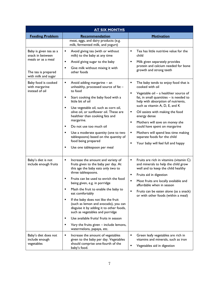| <u>AT SIX MONTHS</u>                                    |                                                                                                                                                            |                                                                                                                                                            |
|---------------------------------------------------------|------------------------------------------------------------------------------------------------------------------------------------------------------------|------------------------------------------------------------------------------------------------------------------------------------------------------------|
| <b>Feeding Problem</b>                                  | Recommendation                                                                                                                                             | <b>Motivation</b>                                                                                                                                          |
|                                                         | meat, eggs, and dairy products (e.g.<br>milk, fermented milk, and yogurt)                                                                                  |                                                                                                                                                            |
| Baby is given tea as a<br>snack in between              | Avoid giving tea (with or without<br>٠<br>milk) to the baby at any time                                                                                    | Tea has little nutritive value for the<br>٠<br>child                                                                                                       |
| meals or as a meal                                      | Avoid giving sugar to the baby<br>٠                                                                                                                        | Milk given separately provides<br>٠                                                                                                                        |
| The tea is prepared<br>with milk and sugar              | Give milk without mixing it with<br>٠<br>other foods                                                                                                       | protein and calcium needed for bone<br>growth and strong teeth                                                                                             |
| Baby food is cooked<br>with margarine<br>instead of oil | Avoid adding margarine - an<br>٠<br>unhealthy, processed source of fat -<br>to food                                                                        | ٠<br>The baby tends to enjoy food that is<br>cooked with oil                                                                                               |
|                                                         | Start cooking the baby food with a<br>٠<br>little bit of oil                                                                                               | Vegetable oil - a healthier source of<br>fat, in small quantities $-$ is needed to<br>help with absorption of nutrients,<br>such as vitamin A, D, E, and K |
|                                                         | Use vegetable oil, such as corn oil,<br>٠<br>olive oil, or sunflower oil. These are<br>healthier than cooking fats and                                     | Oil assists with making the food<br>п<br>energy dense                                                                                                      |
|                                                         | margarine.<br>Do not use too much oil<br>٠                                                                                                                 | Mothers will save on money she<br>٠<br>could have spent on margarine                                                                                       |
|                                                         | Use a moderate quantity (one to two<br>٠<br>tablespoons) based on the quantity of<br>food being prepared                                                   | Mothers will spend less time making<br>٠<br>separate foods for the child                                                                                   |
|                                                         | Use one tablespoon per meal<br>٠                                                                                                                           | П<br>Your baby will feel full and happy                                                                                                                    |
| Baby's diet is not<br>include enough fruits             | Increase the amount and variety of<br>٠<br>fruits given to the baby per day. At<br>this age the baby eats only two to<br>three tablespoons.                | Fruits are rich in vitamins (vitamin C)<br>٠<br>and minerals to help the child grow<br>well and to keep the child healthy                                  |
|                                                         | Fruits can be used to enrich the food<br>being given, e.g. in porridge                                                                                     | Fruits aid in digestion<br>٠<br>Most fruits are locally available and<br>٠                                                                                 |
|                                                         | Mash the fruit to enable the baby to<br>eat comfortably                                                                                                    | affordable when in season<br>Fruits can be eaten alone (as a snack)                                                                                        |
|                                                         | If the baby does not like the fruit<br>(such as lemon and avocado), you can<br>disguise it by adding it to other foods,<br>such as vegetables and porridge | or with other foods (within a meal)                                                                                                                        |
|                                                         | Use available fruits/ fruits in season<br>٠                                                                                                                |                                                                                                                                                            |
|                                                         | Vary the fruits given - include lemons,<br>٠<br>watermelons, papaya, etc.                                                                                  |                                                                                                                                                            |
| Baby's diet does not<br>include enough<br>vegetables    | Increase the amount of vegetables<br>٠<br>given to the baby per day. Vegetables<br>should comprise one-fourth of the<br>baby's food.                       | Green leafy vegetables are rich in<br>٠<br>vitamins and minerals, such as iron<br>Vegetables aid in digestion                                              |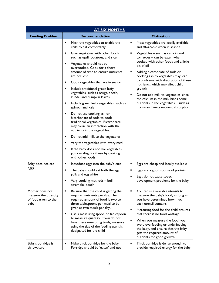| <b>AT SIX MONTHS</b>                                                    |                                                                                                                                                                                                                            |                                                                                                                                                                                                                                                |
|-------------------------------------------------------------------------|----------------------------------------------------------------------------------------------------------------------------------------------------------------------------------------------------------------------------|------------------------------------------------------------------------------------------------------------------------------------------------------------------------------------------------------------------------------------------------|
| <b>Feeding Problem</b>                                                  | Recommendation                                                                                                                                                                                                             | <b>Motivation</b>                                                                                                                                                                                                                              |
|                                                                         | ٠<br>Mash the vegetables to enable the<br>child to eat comfortably                                                                                                                                                         | Most vegetables are locally available<br>and affordable when in season                                                                                                                                                                         |
|                                                                         | Give vegetables with other foods<br>٠<br>such as ugali, potatoes, and rice                                                                                                                                                 | Vegetables - such as carrots and<br>$tomatoes - can be eaten when$                                                                                                                                                                             |
|                                                                         | Vegetables should not be<br>٠<br>overcooked. Cook for a short<br>amount of time to ensure nutrients<br>are not lost.                                                                                                       | cooked with other foods and a little<br>bit of oil<br>Adding bicarbonate of soda or<br>cooking ash to vegetables may lead                                                                                                                      |
|                                                                         | Cook vegetables that are in season<br>٠                                                                                                                                                                                    | to problems with absorption of these<br>nutrients, which may affect child                                                                                                                                                                      |
|                                                                         | Include traditional green leafy<br>٠<br>vegetables, such as osuga, apoth,<br>kunde, and pumpkin leaves                                                                                                                     | growth<br>Do not add milk to vegetables since<br>the calcium in the milk binds some                                                                                                                                                            |
|                                                                         | Include green leafy vegetables, such as<br>٠<br>spinach and kale                                                                                                                                                           | nutrients in the vegetables - such as<br>iron - and limits nutrient absorption                                                                                                                                                                 |
|                                                                         | ٠<br>Do not use cooking ash or<br>bicarbonate of soda to cook<br>traditional vegetables. Bicarbonate<br>may cause an interaction with the<br>nutrients in the vegetables.                                                  |                                                                                                                                                                                                                                                |
|                                                                         | Do not add milk to the vegetables<br>٠                                                                                                                                                                                     |                                                                                                                                                                                                                                                |
|                                                                         | Vary the vegetables with every meal<br>٠                                                                                                                                                                                   |                                                                                                                                                                                                                                                |
|                                                                         | If the baby does not like vegetables,<br>٠<br>you can disguise these by cooking<br>with other foods                                                                                                                        |                                                                                                                                                                                                                                                |
| Baby does not eat                                                       | Introduce eggs into the baby's diet<br>٠                                                                                                                                                                                   | Eggs are cheap and locally available                                                                                                                                                                                                           |
| eggs                                                                    | The baby should eat both the egg<br>٠<br>yolk and egg white                                                                                                                                                                | Eggs are a good source of protein                                                                                                                                                                                                              |
|                                                                         | Vary cooking methods - boil,<br>scramble, poach                                                                                                                                                                            | Eggs do not cause speech<br>development problems for the baby                                                                                                                                                                                  |
| Mother does not<br>measure the quantity<br>of food given to the<br>baby | Be sure that the child is getting the<br>required nutrients per day. The<br>required amount of food is two to<br>three tablespoons per meal to be                                                                          | You can use available utensils to<br>measure the baby's food, as long as<br>you have determined how much<br>each utensil contains                                                                                                              |
|                                                                         | given as two meals per day.<br>Use a measuring spoon or tablespoon<br>٠<br>to measure quantity. If you do not<br>have these measuring tools, measure<br>using the size of the feeding utensils<br>designated for the child | Measuring food for the child ensures<br>that there is no food wastage<br>When you measure the food, you<br>avoid overfeeding or underfeeding<br>the baby, and ensure that the baby<br>gets the required amount of<br>nutrients for good growth |
| Baby's porridge is<br>thin/watery                                       | Make thick porridge for the baby.<br>Porridge should be 'eaten' and not                                                                                                                                                    | Thick porridge is dense enough to<br>provide required energy for the baby                                                                                                                                                                      |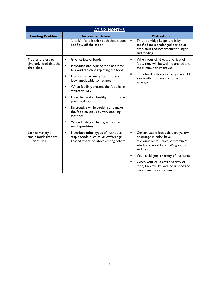|                                                              | <b>AT SIX MONTHS</b>                                                                                                   |                                                                                                                                                                 |
|--------------------------------------------------------------|------------------------------------------------------------------------------------------------------------------------|-----------------------------------------------------------------------------------------------------------------------------------------------------------------|
| <b>Feeding Problem</b>                                       | Recommendation                                                                                                         | <b>Motivation</b>                                                                                                                                               |
|                                                              | 'drank'. Make it thick such that it does<br>not flow off the spoon                                                     | Thick porridge keeps the baby<br>$\blacksquare$<br>satisfied for a prolonged period of<br>time, thus reduces frequent hunger<br>and feeding                     |
| Mother prefers to                                            | Give variety of foods<br>П                                                                                             | When your child eats a variety of<br>$\blacksquare$                                                                                                             |
| give only food that the<br>child likes                       | $\blacksquare$<br>Introduce one type of food at a time<br>to avoid the child rejecting the food                        | food, they will be well nourished and<br>their immunity improves                                                                                                |
|                                                              | Do not mix so many foods, these<br>П<br>look unpalatable sometimes                                                     | If the food is delicious/tasty the child<br>٠<br>eats easily and saves on time and<br>wastage                                                                   |
|                                                              | When feeding, present the food in an<br>п<br>attractive way                                                            |                                                                                                                                                                 |
|                                                              | Hide the disliked healthy foods in the<br>$\blacksquare$<br>preferred food                                             |                                                                                                                                                                 |
|                                                              | Be creative while cooking and make<br>П<br>the food delicious by vary cooking<br>methods                               |                                                                                                                                                                 |
|                                                              | When feeding a child, give food in<br>Е<br>small quantities                                                            |                                                                                                                                                                 |
| Lack of variety in<br>staple foods that are<br>nutrient-rich | Introduce other types of nutritious<br>٠<br>staple foods, such as yellow/orange<br>fleshed sweet potatoes among others | ٠<br>Certain staple foods that are yellow<br>or orange in color have<br>micronutrients - such as vitamin A -<br>which are good for child's growth<br>and health |
|                                                              |                                                                                                                        | Your child gets a variety of nutrients<br>٠                                                                                                                     |
|                                                              |                                                                                                                        | When your child eats a variety of<br>food, they will be well nourished and<br>their immunity improves                                                           |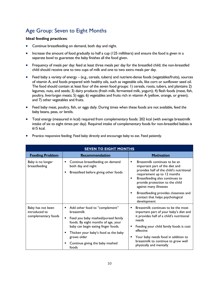# <span id="page-13-0"></span>Age Group: Seven to Eight Months

#### **Ideal feeding practices**:

- Continue breastfeeding on demand, both day and night.
- Increase the amount of food gradually to half a cup (125 milliliters) and ensure the food is given in a separate bowl to guarantee the baby finishes all the food given.
- Frequency of meals per day: feed at least three meals per day for the breastfed child; the non-breastfed child should receive one to two cups of milk and one to two extra meals per day.
- Feed baby a variety of energy (e.g., cereals, tubers) and nutrient-dense foods (vegetables/fruits), sources of vitamin A, and foods prepared with healthy oils, such as vegetable oils, like corn or sunflower seed oil. The food should contain at least four of the seven food groups: 1) cereals, roots, tubers, and plantains 2) legumes, nuts, and seeds; 3) dairy products (fresh milk, fermented milk, yogurt); 4) flesh foods (meat, fish, poultry, liver/organ meats; 5) eggs; 6) vegetables and fruits rich in vitamin A (yellow, orange, or green); and 7) other vegetables and fruits.
- Feed baby meat, poultry, fish, or eggs daily. During times when these foods are not available, feed the baby beans, peas, or lentils.
- Total energy (measured in kcal) required from complementary foods: 202 kcal (with average breastmilk intake of six to eight times per day). Required intake of complementary foods for non-breastfed babies is 615 kcal.

| <b>SEVEN TO EIGHT MONTHS</b>                              |                                                                                                                                                                                                                                                                     |                                                                                                                                                                                                                                                                                                                                            |
|-----------------------------------------------------------|---------------------------------------------------------------------------------------------------------------------------------------------------------------------------------------------------------------------------------------------------------------------|--------------------------------------------------------------------------------------------------------------------------------------------------------------------------------------------------------------------------------------------------------------------------------------------------------------------------------------------|
| <b>Feeding Problem</b>                                    | Recommendation                                                                                                                                                                                                                                                      | <b>Motivation</b>                                                                                                                                                                                                                                                                                                                          |
| Baby is no longer<br>breastfeeding                        | Continue breastfeeding on demand<br>both day and night<br>Breastfeed before giving other foods                                                                                                                                                                      | Breastmilk continues to be an<br>important part of the diet and<br>provides half of the child's nutritional<br>requirement up to 12 months<br>Breastfeeding also continues to<br>٠<br>provide protection to the child<br>against many illnesses<br>Breastfeeding provides closeness and<br>contact that helps psychological<br>development |
| Baby has not been<br>introduced to<br>complementary foods | Add other food to "complement"<br>breastmilk<br>Feed you baby mashed/pureed family<br>foods. By eight months of age, your<br>baby can begin eating finger foods.<br>Thicken your baby's food as the baby<br>grows older<br>Continue giving the baby mashed<br>foods | Breastmilk continues to be the most<br>٠<br>important part of your baby's diet and<br>it provides half of a child's nutritional<br>needs<br>Feeding your child family foods is cost<br>effective<br>Your baby needs food in addition to<br>breastmilk to continue to grow well<br>physically and mentally                                  |

Practice responsive feeding: Feed baby directly and encourage baby to eat. Feed patiently.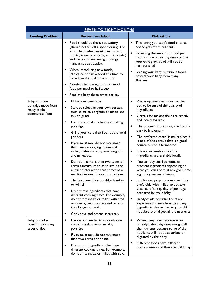| <b>SEVEN TO EIGHT MONTHS</b>                                            |                                                                                                                                                                                                                                                                                                                                                                                                                                                                                                                                                                                                                                                                                                                                                                                                            |                                                                                                                                                                                                                                                                                                                                                                                                                                                                                                                                                                                                                                                                                                                                                                                                                                                                                               |
|-------------------------------------------------------------------------|------------------------------------------------------------------------------------------------------------------------------------------------------------------------------------------------------------------------------------------------------------------------------------------------------------------------------------------------------------------------------------------------------------------------------------------------------------------------------------------------------------------------------------------------------------------------------------------------------------------------------------------------------------------------------------------------------------------------------------------------------------------------------------------------------------|-----------------------------------------------------------------------------------------------------------------------------------------------------------------------------------------------------------------------------------------------------------------------------------------------------------------------------------------------------------------------------------------------------------------------------------------------------------------------------------------------------------------------------------------------------------------------------------------------------------------------------------------------------------------------------------------------------------------------------------------------------------------------------------------------------------------------------------------------------------------------------------------------|
| <b>Feeding Problem</b>                                                  | Recommendation                                                                                                                                                                                                                                                                                                                                                                                                                                                                                                                                                                                                                                                                                                                                                                                             | <b>Motivation</b>                                                                                                                                                                                                                                                                                                                                                                                                                                                                                                                                                                                                                                                                                                                                                                                                                                                                             |
|                                                                         | Food should be thick, not watery<br>П<br>(should not fall off a spoon easily). For<br>example, mashed vegetables (carrot,<br>potato, tomato, spinach, sweet potato)<br>and fruits (banana, mango, orange,<br>mandarin, pear, apple).<br>٠<br>When introducing new foods,<br>introduce one new food at a time to<br>learn how the child reacts to it<br>Continue increasing the amount of<br>٠<br>food per meal to half a cup<br>Feed the baby three times per day<br>Е                                                                                                                                                                                                                                                                                                                                     | Thickening you baby's food ensures<br>he/she gets more nutrients<br>٠<br>Increasing the amount of food per<br>meal and meals per day ensures that<br>your child grows and will not be<br>malnourished<br>Feeding your baby nutritious foods<br>protect your baby from many<br>illnesses                                                                                                                                                                                                                                                                                                                                                                                                                                                                                                                                                                                                       |
| Baby is fed on<br>porridge made from<br>ready-made,<br>commercial flour | Make your own flour<br>٠<br>Start by selecting your own cereals,<br>п<br>such as millet, sorghum or maize and<br>mix to grind<br>Use one cereal at a time for making<br>٠<br>porridge<br>Grind your cereal to flour at the local<br>٠<br>grinders<br>П<br>If you must mix, do not mix more<br>than two cereals, e.g. maize and<br>millet; maize and sorghum; sorghum<br>and millet, etc.<br>Do not mix more than two types of<br>٠<br>cereals maximum so as to avoid the<br>nutrient interaction that comes as a<br>result of mixing three or more flours<br>The best cereal for porridge is millet<br>٠<br>or wimbi<br>Do not mix ingredients that have<br>п<br>different cooking times. For example,<br>do not mix maize or millet with soya<br>or omena, because soya and omena<br>take longer to cook. | Preparing your own flour enables<br>٠<br>you to be sure of the quality of<br>ingredients<br>Cereals for making flour are readily<br>٠<br>and locally available<br>The process of preparing the flour is<br>٠<br>easy to implement<br>The preferred cereal is millet since it<br>٠<br>is one of the cereals that is a good<br>source of iron if fermented<br>It is not expensive since the<br>٠<br>ingredients are available locally<br>You can buy small portions of<br>different ingredients depending on<br>what you can afford at any given time<br>e.g. one gorogoro of wimbi<br>It is best to prepare your own flour,<br>preferably with millet, so you are<br>ensured of the quality of porridge<br>prepared for your baby<br>Ready-made porridge flours are<br>٠<br>expensive and may have too many<br>ingredients that will make your child<br>not absorb or digest all the nutrients |
| Baby porridge<br>contains too many<br>types of flour                    | Cook soya and omena separately<br>п<br>It is recommended to use only one<br>٠<br>cereal at a time when making<br>porridge<br>If you must mix, do not mix more<br>٠<br>than two cereals at a time<br>Do not mix ingredients that have<br>п<br>different cooking times. For example,<br>do not mix maize or millet with soya                                                                                                                                                                                                                                                                                                                                                                                                                                                                                 | When many flours are mixed in<br>porridge, the baby does not get all<br>the nutrients because some of the<br>nutrients will not be absorbed or<br>digested by the body<br>Different foods have different<br>$\blacksquare$<br>cooking times and thus the child may                                                                                                                                                                                                                                                                                                                                                                                                                                                                                                                                                                                                                            |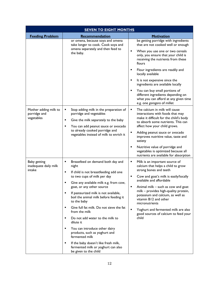| <b>SEVEN TO EIGHT MONTHS</b>                        |                                                                                                                                                                                                                                                                                                                                                                                                                                                                                                                                                                                                                                             |                                                                                                                                                                                                                                                                                                                                                                                                                                                                                                    |
|-----------------------------------------------------|---------------------------------------------------------------------------------------------------------------------------------------------------------------------------------------------------------------------------------------------------------------------------------------------------------------------------------------------------------------------------------------------------------------------------------------------------------------------------------------------------------------------------------------------------------------------------------------------------------------------------------------------|----------------------------------------------------------------------------------------------------------------------------------------------------------------------------------------------------------------------------------------------------------------------------------------------------------------------------------------------------------------------------------------------------------------------------------------------------------------------------------------------------|
| <b>Feeding Problem</b>                              | Recommendation                                                                                                                                                                                                                                                                                                                                                                                                                                                                                                                                                                                                                              | <b>Motivation</b>                                                                                                                                                                                                                                                                                                                                                                                                                                                                                  |
|                                                     | or omena, because soya and omena<br>take longer to cook. Cook soya and<br>omena separately and then feed to<br>the baby.                                                                                                                                                                                                                                                                                                                                                                                                                                                                                                                    | be getting porridge with ingredients<br>that are not cooked well or enough<br>٠<br>When you use one or two cereals<br>only, you ensure that your child is<br>receiving the nutrients from these<br>flours<br>Flour ingredients are readily and<br>п<br>locally available<br>It is not expensive since the<br>п<br>ingredients are available locally<br>You can buy small portions of<br>different ingredients depending on<br>what you can afford at any given time<br>e.g. one gorogoro of millet |
| Mother adding milk to<br>porridge and<br>vegetables | Stop adding milk in the preparation of<br>٠<br>porridge and vegetables<br>Give the milk separately to the baby<br>٠<br>You can add peanut sauce or avocado<br>$\blacksquare$<br>to already cooked porridge and<br>vegetables instead of milk to enrich it                                                                                                                                                                                                                                                                                                                                                                                   | The calcium in milk will cause<br>п<br>interactions with foods that may<br>make it difficult for the child's body<br>to absorb some nutrients. This can<br>affect how your child grows.<br>Adding peanut sauce or avocado<br>٠<br>improves nutritive value, taste and<br>satiety<br>Nutritive value of porridge and<br>٠<br>vegetables is optimized because all<br>nutrients are available for absorption                                                                                          |
| Baby getting<br>inadequate daily milk<br>intake     | Breastfeed on demand both day and<br>٠<br>night<br>If child is not breastfeeding add one<br>٠<br>to two cups of milk per day<br>Give any available milk e.g. from cow,<br>п<br>goat, or any other source<br>If pasteurized milk is not available,<br>٠<br>boil the animal milk before feeding it<br>to the baby<br>Give full fat milk. Do not sieve the fat<br>٠<br>from the milk<br>Do not add water to the milk to<br>٠<br>dilute it<br>You can introduce other dairy<br>٠<br>products, such as yoghurt and<br>fermented milk<br>If the baby doesn't like fresh milk,<br>٠<br>fermented milk or yoghurt can also<br>be given to the child | ٠<br>Milk is an important source of<br>calcium that helps a child to grow<br>strong bones and teeth<br>Cow and goat's milk is easily/locally<br>available and affordable<br>Animal milk - such as cow and goat<br>milk - provides high-quality protein,<br>potassium and calcium, as well as<br>vitamin B12 and other<br>micronutrients<br>$\blacksquare$<br>Yoghurt and fermented milk are also<br>good sources of calcium to feed your<br>child                                                  |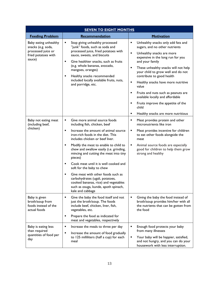| <b>SEVEN TO EIGHT MONTHS</b>                                                                                               |                                                                                                                                                                                                                                                                                                                                                                                                                                                                                                                                                                            |                                                                                                                                                                                                                                                                                                                                                                                                                                                                                                                                                                                     |
|----------------------------------------------------------------------------------------------------------------------------|----------------------------------------------------------------------------------------------------------------------------------------------------------------------------------------------------------------------------------------------------------------------------------------------------------------------------------------------------------------------------------------------------------------------------------------------------------------------------------------------------------------------------------------------------------------------------|-------------------------------------------------------------------------------------------------------------------------------------------------------------------------------------------------------------------------------------------------------------------------------------------------------------------------------------------------------------------------------------------------------------------------------------------------------------------------------------------------------------------------------------------------------------------------------------|
| <b>Feeding Problem</b>                                                                                                     | Recommendation                                                                                                                                                                                                                                                                                                                                                                                                                                                                                                                                                             | Motivation                                                                                                                                                                                                                                                                                                                                                                                                                                                                                                                                                                          |
| Baby eating unhealthy<br>snacks (e.g. soda,<br>processed juice or<br>fried potatoes with<br>sauce)<br>Baby not eating meat | Stop giving unhealthy processed<br>٠<br>"junk" foods, such as soda and<br>processed juice, fried potatoes with<br>sauce, sweets, and biscuits<br>Give healthier snacks, such as fruits<br>$\blacksquare$<br>(e.g. whole bananas, avocado,<br>mangoes, oranges)<br>Healthy snacks recommended<br>٠<br>included locally available fruits, nuts,<br>and porridge, etc.<br>Give more animal source foods<br>$\blacksquare$                                                                                                                                                     | Unhealthy snacks only add fats and<br>٠<br>sugars, and no other nutrients<br>$\blacksquare$<br>Unhealthy snacks are more<br>expensive in the long run for you<br>and your family<br>These unhealthy snacks will not help<br>٠<br>your child to grow well and do not<br>contribute to good health<br>Healthy snacks have more nutritive<br>$\blacksquare$<br>value<br>Fruits and nuts such as peanuts are<br>٠<br>available locally and affordable<br>Fruits improve the appetite of the<br>child<br>٠<br>Healthy snacks are more nutritious<br>Meat provides protein and other<br>٠ |
| (including beef,<br>chicken)                                                                                               | including fish, chicken, beef<br>Increase the amount of animal source<br>$\blacksquare$<br>iron-rich foods in the diet. This<br>includes chicken or beef liver.<br>٠<br>Modify the meat to enable to child to<br>chew and swallow easily (i.e. grinding,<br>mincing and cutting the meat into tiny<br>pieces)<br>Cook meat until it is well cooked and<br>٠<br>soft for the baby to chew<br>Give meat with other foods such as<br>٠<br>carbohydrates (ugali, potatoes,<br>cooked bananas, rice) and vegetables<br>such as osuga, kunde, apoth spinach,<br>kale and cabbage | micronutrients like iron<br>Meat provides incentive for children<br>٠<br>to eat other foods alongside the<br>meat<br>Animal source foods are especially<br>٠<br>good for children to help them grow<br>strong and healthy                                                                                                                                                                                                                                                                                                                                                           |
| Baby is given<br>broth/soup from<br>foods instead of the<br>actual foods                                                   | Give the baby the food itself and not<br>٠<br>just the broth/soup. The foods<br>include beef, chicken, liver, fish,<br>vegetables, etc.<br>Prepare the food as indicated for<br>٠<br>meat and vegetables, respectively                                                                                                                                                                                                                                                                                                                                                     | Giving the baby the food instead of<br>broth/soup provides him/her with all<br>the nutrients that can be gotten from<br>the food                                                                                                                                                                                                                                                                                                                                                                                                                                                    |
| Baby is eating less<br>than required<br>quantities of food per<br>day                                                      | ٠<br>Increase the meals to three per day<br>٠<br>Increase the amount of food gradually<br>to 125 milliliters (half a cup) for each<br>meal                                                                                                                                                                                                                                                                                                                                                                                                                                 | Enough food protects your baby<br>٠<br>from many illnesses<br>Your baby will be happier, satisfied,<br>٠<br>and not hungry, and you can do your<br>housework with less interruption.                                                                                                                                                                                                                                                                                                                                                                                                |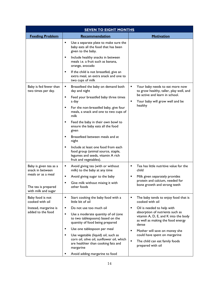| <b>SEVEN TO EIGHT MONTHS</b>                 |                                                                                                                                                            |                                                                                                                       |
|----------------------------------------------|------------------------------------------------------------------------------------------------------------------------------------------------------------|-----------------------------------------------------------------------------------------------------------------------|
| <b>Feeding Problem</b>                       | Recommendation                                                                                                                                             | Motivation                                                                                                            |
|                                              | Use a separate plate to make sure the<br>٠<br>baby eats all the food that has been<br>given to the baby.                                                   |                                                                                                                       |
|                                              | Include healthy snacks in between<br>٠<br>meals <i>i.e.</i> a fruit such as banana,<br>orange, avocado                                                     |                                                                                                                       |
|                                              | If the child is not breastfed, give an<br>٠<br>extra meal, an extra snack and one to<br>two cups of milk                                                   |                                                                                                                       |
| Baby is fed fewer than<br>two times per day. | Breastfeed the baby on demand both<br>٠<br>day and night                                                                                                   | Your baby needs to eat more now<br>to grow healthy, taller, play well, and                                            |
|                                              | Feed your breastfed baby three times<br>٠<br>a day                                                                                                         | be active and learn in school.<br>Your baby will grow well and be                                                     |
|                                              | For the non-breastfed baby, give four<br>meals, a snack and one to two cups of<br>milk                                                                     | healthy                                                                                                               |
|                                              | Feed the baby in their own bowl to<br>٠<br>ensure the baby eats all the food<br>given                                                                      |                                                                                                                       |
|                                              | Breastfeed between meals and at<br>٠<br>night                                                                                                              |                                                                                                                       |
|                                              | Include at least one food from each<br>$\blacksquare$<br>food group (animal source, staple,<br>legumes and seeds, vitamin A rich<br>fruit and vegetables). |                                                                                                                       |
| Baby is given tea as a<br>snack in between   | Avoid giving tea (with or without<br>٠<br>milk) to the baby at any time                                                                                    | Tea has little nutritive value for the<br>٠<br>child                                                                  |
| meals or as a meal                           | Avoid giving sugar to the baby<br>٠                                                                                                                        | Milk given separately provides                                                                                        |
| The tea is prepared<br>with milk and sugar   | Give milk without mixing it with<br>other foods                                                                                                            | protein and calcium, needed for<br>bone growth and strong teeth                                                       |
| Baby food is not<br>cooked with oil          | Start cooking the baby food with a<br>٠<br>little bit of oil                                                                                               | The baby tends to enjoy food that is<br>п<br>cooked with oil                                                          |
| Instead, margarine is                        | Do not use too much oil<br>٠                                                                                                                               | Oil is needed to help with<br>٠                                                                                       |
| added to the food                            | ٠<br>Use a moderate quantity of oil (one<br>to two tablespoons) based on the<br>quantity of food being prepared                                            | absorption of nutrients such as<br>vitamin A, D, E, and K into the body<br>as well as making the food energy<br>dense |
|                                              | Use one tablespoon per meal<br>٠                                                                                                                           | ٠<br>Mother will save on money she                                                                                    |
|                                              | Use vegetable (liquid) oil, such as<br>٠<br>corn oil, olive oil, sunflower oil, which<br>are healthier than cooking fats and<br>margarine                  | could have spent on margarine<br>Ξ<br>The child can eat family foods<br>prepared with oil                             |
|                                              | Avoid adding margarine to food                                                                                                                             |                                                                                                                       |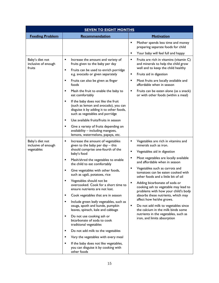| <b>SEVEN TO EIGHT MONTHS</b>                         |                                                                                                                                                                                                                                                                                                                     |                                                                                                                                                                                                         |
|------------------------------------------------------|---------------------------------------------------------------------------------------------------------------------------------------------------------------------------------------------------------------------------------------------------------------------------------------------------------------------|---------------------------------------------------------------------------------------------------------------------------------------------------------------------------------------------------------|
| <b>Feeding Problem</b>                               | Recommendation                                                                                                                                                                                                                                                                                                      | <b>Motivation</b>                                                                                                                                                                                       |
|                                                      |                                                                                                                                                                                                                                                                                                                     | ٠<br>Mother spends less time and money<br>preparing separate foods for child                                                                                                                            |
|                                                      |                                                                                                                                                                                                                                                                                                                     | ٠<br>Your baby will feel full and happy                                                                                                                                                                 |
| Baby's diet not<br>inclusive of enough<br>fruits     | ٠<br>Increase the amount and variety of<br>fruits given to the baby per day<br>٠<br>Fruits can be used to enrich porridge<br>e.g. avocado or given separately<br>П<br>Fruits can also be given as finger                                                                                                            | Fruits are rich in vitamins (vitamin C)<br>٠<br>and minerals to help the child grow<br>well and to keep the child healthy<br>Fruits aid in digestion<br>٠<br>Most fruits are locally available and<br>٠ |
|                                                      | foods<br>П<br>Mash the fruit to enable the baby to                                                                                                                                                                                                                                                                  | affordable when in season<br>Fruits can be eaten alone (as a snack)                                                                                                                                     |
|                                                      | eat comfortably<br>If the baby does not like the fruit<br>٠<br>(such as lemon and avocado), you can<br>disguise it by adding it to other foods,<br>such as vegetables and porridge<br>Use available fruits/fruits in season<br>٠<br>Give a variety of fruits depending on<br>٠<br>availability - including mangoes, | or with other foods (within a meal)                                                                                                                                                                     |
| Baby's diet not<br>inclusive of enough<br>vegetables | lemons, watermelons, papaya, etc.<br>Increase the amount of vegetables<br>٠<br>given to the baby per day - this<br>should comprise one-fourth of the                                                                                                                                                                | Vegetables are rich in vitamins and<br>minerals such as iron.                                                                                                                                           |
|                                                      | baby's food<br>٠<br>Mash/shred the vegetables to enable<br>the child to eat comfortably                                                                                                                                                                                                                             | Vegetables aid in digestion<br>٠<br>Most vegetables are locally available<br>٠<br>and affordable when in season                                                                                         |
|                                                      | Give vegetables with other foods,<br>٠<br>such as ugali, potatoes, rice                                                                                                                                                                                                                                             | Vegetables such as carrots and<br>tomatoes can be eaten cooked with<br>other foods and a little bit of oil                                                                                              |
|                                                      | Vegetables should not be<br>п<br>overcooked. Cook for a short time to<br>ensure nutrients are not lost.                                                                                                                                                                                                             | Adding bicarbonate of soda or<br>cooking ash to vegetable may lead to<br>problems with how your child's body                                                                                            |
|                                                      | Cook vegetables that are in season<br>п                                                                                                                                                                                                                                                                             | absorbs these nutrients, which may                                                                                                                                                                      |
|                                                      | Include green leafy vegetables, such as<br>п<br>osuga, apoth and kunde, pumpkin<br>leaves, spinach, kale and cabbage                                                                                                                                                                                                | affect how he/she grows.<br>Do not add milk to vegetables since<br>٠<br>the calcium in the milk binds some                                                                                              |
|                                                      | Do not use cooking ash or<br>٠<br>bicarbonate of soda to cook<br>traditional vegetables                                                                                                                                                                                                                             | nutrients in the vegetables, such as<br>iron, and limits absorption                                                                                                                                     |
|                                                      | Do not add milk to the vegetables<br>п                                                                                                                                                                                                                                                                              |                                                                                                                                                                                                         |
|                                                      | Vary the vegetables with every meal<br>п                                                                                                                                                                                                                                                                            |                                                                                                                                                                                                         |
|                                                      | If the baby does not like vegetables,<br>٠<br>you can disguise it by cooking with<br>other foods                                                                                                                                                                                                                    |                                                                                                                                                                                                         |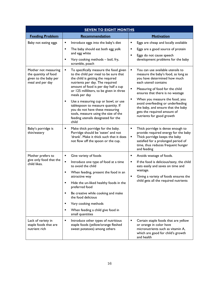| <b>SEVEN TO EIGHT MONTHS</b>                                                              |                                                                                                                                                                                                                                                                                                                                                                                                                                                                                |                                                                                                                                                                                                                                                                                                                                                                                                  |
|-------------------------------------------------------------------------------------------|--------------------------------------------------------------------------------------------------------------------------------------------------------------------------------------------------------------------------------------------------------------------------------------------------------------------------------------------------------------------------------------------------------------------------------------------------------------------------------|--------------------------------------------------------------------------------------------------------------------------------------------------------------------------------------------------------------------------------------------------------------------------------------------------------------------------------------------------------------------------------------------------|
| <b>Feeding Problem</b>                                                                    | Recommendation                                                                                                                                                                                                                                                                                                                                                                                                                                                                 | <b>Motivation</b>                                                                                                                                                                                                                                                                                                                                                                                |
| Baby not eating eggs                                                                      | Introduce eggs into the baby's diet<br>٠<br>The baby should eat both egg yolk<br>$\blacksquare$<br>and egg white<br>Vary cooking methods - boil, fry,<br>$\blacksquare$<br>scramble, poach                                                                                                                                                                                                                                                                                     | Eggs are cheap and locally available<br>Eggs are a good source of protein<br>٠<br>Eggs do not cause speech<br>٠<br>development problems for the baby                                                                                                                                                                                                                                             |
| Mother not measuring<br>the quantity of food<br>given to the baby per<br>meal and per day | To specifically measure the food given<br>٠<br>to the child per meal to be sure that<br>the child is getting the required<br>nutrients per day. The required<br>amount of food is per day half a cup<br>or 125 milliliters, to be given in three<br>meals per day<br>Use a measuring cup or bowl, or use<br>٠<br>tablespoon to measure quantity. If<br>you do not have these measuring<br>tools, measure using the size of the<br>feeding utensils designated for the<br>child | You can use available utensils to<br>٠<br>measure the baby's food, as long as<br>you have determined how much<br>each utensil contains<br>Measuring of food for the child<br>٠<br>ensures that there is no wastage<br>When you measure the food, you<br>٠<br>avoid overfeeding or underfeeding<br>the baby, and ensure that the baby<br>gets the required amount of<br>nutrients for good growth |
| Baby's porridge is<br>thin/watery                                                         | Make thick porridge for the baby.<br>٠<br>Porridge should be 'eaten' and not<br>'drank'. Make it thick such that it does<br>not flow off the spoon or the cup.                                                                                                                                                                                                                                                                                                                 | Thick porridge is dense enough to<br>٠<br>provide required energy for the baby<br>Thick porridge keeps the baby<br>٠<br>satisfied for a prolonged period of<br>time, thus reduces frequent hunger<br>and feeding                                                                                                                                                                                 |
| Mother prefers to<br>give only food that the<br>child likes.                              | Give variety of foods<br>٠<br>٠<br>Introduce one type of food at a time<br>to avoid the child<br>When feeding, present the food in an<br>٠<br>attractive way<br>Hide the un-liked healthy foods in the<br>٠<br>preferred food<br>Be creative while cooking and make<br>the food delicious<br>Vary cooking methods<br>٠<br>When feeding a child give food in<br>٠<br>small quantities                                                                                           | Avoids wastage of foods.<br>$\blacksquare$<br>If the food is delicious/tasty, the child<br>eats easily and saves on time and<br>wastage.<br>Giving a variety of foods ensures the<br>٠<br>child gets all the required nutrients                                                                                                                                                                  |
| Lack of variety in<br>staple foods that are<br>nutrient rich                              | Introduce other types of nutritious<br>٠<br>staple foods (yellow/orange fleshed<br>sweet potatoes) among others                                                                                                                                                                                                                                                                                                                                                                | ٠<br>Certain staple foods that are yellow<br>or orange in color have<br>micronutrients such as vitamin A,<br>which are good for child's growth<br>and health                                                                                                                                                                                                                                     |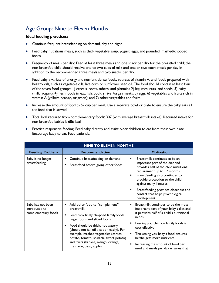# <span id="page-20-0"></span>Age Group: Nine to Eleven Months

#### **Ideal feeding practices:**

- Continue frequent breastfeeding on demand, day and night.
- Feed baby nutritious meals, such as thick vegetable soup, yogurt, eggs, and pounded, mashed/chopped foods.
- Frequency of meals per day: Feed at least three meals and one snack per day for the breastfed child; the non-breastfed child should receive one to two cups of milk and one or two extra meals per day in addition to the recommended three meals and two snacks per day.
- Feed baby a variety of energy and nutrient-dense foods, sources of vitamin A, and foods prepared with healthy oils, such as vegetable oils, like corn or sunflower seed oil. The food should contain at least four of the seven food groups: 1) cereals, roots, tubers, and plantains 2) legumes, nuts, and seeds; 3) dairy (milk, yogurt); 4) flesh foods (meat, fish, poultry, liver/organ meats; 5) eggs; 6) vegetables and fruits rich in vitamin A (yellow, orange, or green); and 7) other vegetables and fruits.
- $\bullet$  Increase the amount of food to  $\frac{3}{4}$  cup per meal. Use a separate bowl or plate to ensure the baby eats all the food that is served.
- Total kcal required from complementary foods: 307 (with average breastmilk intake). Required intake for non-breastfed babies is 686 kcal.

| • Practice responsive feeding. Feed baby directly and assist older children to eat from their own plate. |
|----------------------------------------------------------------------------------------------------------|
| Encourage baby to eat. Feed patiently.                                                                   |

| <b>NINE TO ELEVEN MONTHS</b>                              |                                                                                                                                                                                                                                                       |                                                                                                                                                                                                                                               |
|-----------------------------------------------------------|-------------------------------------------------------------------------------------------------------------------------------------------------------------------------------------------------------------------------------------------------------|-----------------------------------------------------------------------------------------------------------------------------------------------------------------------------------------------------------------------------------------------|
| <b>Feeding Problem</b>                                    | <b>Recommendation</b>                                                                                                                                                                                                                                 | <b>Motivation</b>                                                                                                                                                                                                                             |
| Baby is no longer<br>breastfeeding                        | Continue breastfeeding on demand<br>Breastfeed before giving other foods                                                                                                                                                                              | Breastmilk continues to be an<br>٠<br>important part of the diet and<br>provides half of the child nutritional<br>requirement up to 12 months<br>Breastfeeding also continues to<br>provide protection to the child<br>against many illnesses |
|                                                           |                                                                                                                                                                                                                                                       | Breastfeeding provides closeness and<br>٠<br>contact that helps psychological<br>development                                                                                                                                                  |
| Baby has not been<br>introduced to<br>complementary foods | Add other food to "complement"<br>٠<br>breastmilk.<br>Feed baby finely chopped family foods,<br>finger foods and sliced foods<br>Food should be thick, not watery<br>(should not fall off a spoon easily). For<br>example, mashed vegetables (carrot, | Breastmilk continues to be the most<br>important part of your baby's diet and<br>it provides half of a child's nutritional<br>needs.<br>Feeding you child on family foods is<br>cost effective<br>Thickening you baby's food ensures          |
|                                                           | potato, tomato, spinach, sweet potato)<br>and fruits (banana, mango, orange,<br>mandarin, pear, apple).                                                                                                                                               | he/she gets more nutrients<br>Increasing the amount of food per<br>meal and meals per day ensures that                                                                                                                                        |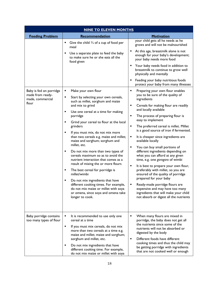| <b>NINE TO ELEVEN MONTHS</b>                                             |                                                                                                                                                                                                                                                                                                                                                                                                                                                                                                                                                                                                                                                                                                                                                                                                |                                                                                                                                                                                                                                                                                                                                                                                                                                                                                                                                                                                                                                                                                                                                                                                                                                               |
|--------------------------------------------------------------------------|------------------------------------------------------------------------------------------------------------------------------------------------------------------------------------------------------------------------------------------------------------------------------------------------------------------------------------------------------------------------------------------------------------------------------------------------------------------------------------------------------------------------------------------------------------------------------------------------------------------------------------------------------------------------------------------------------------------------------------------------------------------------------------------------|-----------------------------------------------------------------------------------------------------------------------------------------------------------------------------------------------------------------------------------------------------------------------------------------------------------------------------------------------------------------------------------------------------------------------------------------------------------------------------------------------------------------------------------------------------------------------------------------------------------------------------------------------------------------------------------------------------------------------------------------------------------------------------------------------------------------------------------------------|
| <b>Feeding Problem</b>                                                   | Recommendation                                                                                                                                                                                                                                                                                                                                                                                                                                                                                                                                                                                                                                                                                                                                                                                 | Motivation                                                                                                                                                                                                                                                                                                                                                                                                                                                                                                                                                                                                                                                                                                                                                                                                                                    |
|                                                                          | Give the child $\frac{3}{4}$ of a cup of food per<br>٠<br>meal<br>Use a separate plate to feed the baby<br>to make sure he or she eats all the<br>food given                                                                                                                                                                                                                                                                                                                                                                                                                                                                                                                                                                                                                                   | your child gets all he needs as he<br>grows and will not be malnourished<br>At this age, breastmilk alone is not<br>enough for your baby's development;<br>your baby needs more food<br>Your baby needs food in addition to<br>breastmilk to continue to grow well<br>physically and mentally<br>Feeding your baby nutritious foods<br>protect your baby from many illnesses                                                                                                                                                                                                                                                                                                                                                                                                                                                                  |
| Baby is fed on porridge<br>made from ready-<br>made, commercial<br>flour | Make your own flour<br>٠<br>Start by selecting your own cereals,<br>٠<br>such as millet, sorghum and maize<br>and mix to grind<br>Use one cereal at a time for making<br>٠<br>porridge<br>٠<br>Grind your cereal to flour at the local<br>grinders<br>If you must mix, do not mix more<br>٠<br>than two cereals e.g. maize and millet;<br>maize and sorghum; sorghum and<br>millet, etc.<br>Do not mix more than two types of<br>٠<br>cereals maximum so as to avoid the<br>nutrient interaction that comes as a<br>result of mixing the or more flours<br>The best cereal for porridge is<br>٠<br>millet/wimbi<br>Do not mix ingredients that have<br>different cooking times. For example,<br>do not mix maize or millet with soya<br>or omena, since soya and omena take<br>longer to cook. | Preparing your own flour enables<br>you to be sure of the quality of<br>ingredients<br>Cereals for making flour are readily<br>and locally available<br>The process of preparing flour is<br>٠<br>easy to implement<br>The preferred cereal is millet. Millet<br>٠<br>is a good source of iron if fermented.<br>It is cheaper since ingredients are<br>٠<br>available locally<br>You can buy small portions of<br>٠<br>different ingredients depending on<br>what you can afford at any given<br>time, e.g. one gorogoro of wimbi<br>It is best to prepare your own flour,<br>٠<br>preferably with millet, so you are<br>ensured of the quality of porridge<br>prepared for your baby<br>Ready-made porridge flours are<br>expensive and may have too many<br>ingredients that will make your child<br>not absorb or digest all the nutrients |
| Baby porridge contains<br>too many types of flour                        | It is recommended to use only one<br>٠<br>cereal at a time<br>٠<br>If you must mix cereals, do not mix<br>more than two cereals at a time e.g.<br>maize and millet; maize and sorghum;<br>sorghum and millet, etc.<br>Do not mix ingredients that have<br>٠<br>different cooking time. For example,<br>do not mix maize or millet with soya                                                                                                                                                                                                                                                                                                                                                                                                                                                    | When many flours are mixed in<br>٠<br>porridge, the baby does not get all<br>the nutrients since some of the<br>nutrients will not be absorbed or<br>digested by the body<br>Different foods have different<br>٠<br>cooking times and thus the child may<br>be getting porridge with ingredients<br>that are not cooked well or enough                                                                                                                                                                                                                                                                                                                                                                                                                                                                                                        |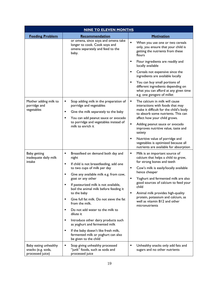| <b>NINE TO ELEVEN MONTHS</b>                                    |                                                                                                                     |                                                                                                                                             |
|-----------------------------------------------------------------|---------------------------------------------------------------------------------------------------------------------|---------------------------------------------------------------------------------------------------------------------------------------------|
| <b>Feeding Problem</b>                                          | Recommendation                                                                                                      | <b>Motivation</b>                                                                                                                           |
|                                                                 | or omena, since soya and omena take<br>longer to cook. Cook soya and<br>omena separately and feed to the<br>baby.   | When you use one or two cereals<br>only, you ensure that your child is<br>getting the nutrients from these<br>flours                        |
|                                                                 |                                                                                                                     | Flour ingredients are readily and<br>٠<br>locally available                                                                                 |
|                                                                 |                                                                                                                     | Cereals not expensive since the<br>٠<br>ingredients are available locally                                                                   |
|                                                                 |                                                                                                                     | You can buy small portions of<br>different ingredients depending on<br>what you can afford at any given time<br>e.g. one gorogoro of millet |
| Mother adding milk to<br>porridge and<br>vegetables             | Stop adding milk in the preparation of<br>п<br>porridge and vegetables<br>Give the milk separately to the baby<br>٠ | The calcium in milk will cause<br>٠<br>interactions with foods that may<br>make it difficult for the child's body                           |
|                                                                 | You can add peanut sauce or avocado<br>$\blacksquare$                                                               | to absorb some nutrients. This can<br>affect how your child grows.                                                                          |
|                                                                 | to porridge and vegetables instead of<br>milk to enrich it                                                          | ٠<br>Adding peanut sauce or avocado<br>improves nutritive value, taste and<br>satiety                                                       |
|                                                                 |                                                                                                                     | Nutritive value of porridge and<br>٠<br>vegetables is optimized because all<br>nutrients are available for absorption                       |
| Baby getting<br>inadequate daily milk<br>intake                 | Breastfeed on demand both day and<br>Ξ<br>night                                                                     | ٠<br>Milk is an important source of<br>calcium that helps a child to grow,                                                                  |
|                                                                 | If child is not breastfeeding, add one<br>п<br>to two cups of milk per day                                          | for strong bones and teeth<br>Cow's milk is easily/locally available<br>٠                                                                   |
|                                                                 | Give any available milk e.g. from cow,<br>п<br>goat or any other                                                    | hence cheaper<br>Yoghurt and fermented milk are also                                                                                        |
|                                                                 | If pasteurized milk is not available,<br>boil the animal milk before feeding it                                     | good sources of calcium to feed your<br>child                                                                                               |
|                                                                 | to the baby<br>Give full fat milk. Do not sieve the fat<br>$\blacksquare$                                           | Animal milk provides high-quality<br>٠<br>protein, potassium and calcium, as                                                                |
|                                                                 | from the milk.                                                                                                      | well as vitamin B12 and other<br>micronutrients                                                                                             |
|                                                                 | Do not add water to the milk to<br>$\blacksquare$<br>dilute it                                                      |                                                                                                                                             |
|                                                                 | Introduce other dairy products such<br>٠<br>as yoghurt and fermented milk                                           |                                                                                                                                             |
|                                                                 | If the baby doesn't like fresh milk,<br>٠<br>fermented milk or yoghurt can also<br>be given to the child            |                                                                                                                                             |
| Baby eating unhealthy<br>snacks (e.g. soda,<br>processed juice) | Ξ<br>Stop giving unhealthy processed<br>"junk" foods, such as soda and<br>processed juice                           | Unhealthy snacks only add fats and<br>٠<br>sugars and no other nutrients                                                                    |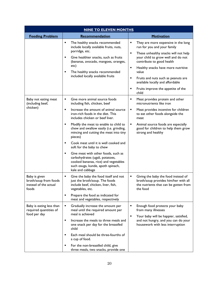| <b>NINE TO ELEVEN MONTHS</b>                                             |                                                                                                                                                                                                                                                                                                                                                                                                                                                                                                                                                                                                                                          |                                                                                                                                                                                                                                                                                                                                                                                                      |  |
|--------------------------------------------------------------------------|------------------------------------------------------------------------------------------------------------------------------------------------------------------------------------------------------------------------------------------------------------------------------------------------------------------------------------------------------------------------------------------------------------------------------------------------------------------------------------------------------------------------------------------------------------------------------------------------------------------------------------------|------------------------------------------------------------------------------------------------------------------------------------------------------------------------------------------------------------------------------------------------------------------------------------------------------------------------------------------------------------------------------------------------------|--|
| <b>Feeding Problem</b>                                                   | Recommendation                                                                                                                                                                                                                                                                                                                                                                                                                                                                                                                                                                                                                           | <b>Motivation</b>                                                                                                                                                                                                                                                                                                                                                                                    |  |
|                                                                          | The healthy snacks recommended<br>Ξ<br>include locally available fruits, nuts,<br>porridge, etc.<br>Give healthier snacks, such as fruits<br>$\blacksquare$<br>(bananas, avocado, mangoes, oranges,<br>etc)<br>The healthy snacks recommended<br>п<br>included locally available fruits                                                                                                                                                                                                                                                                                                                                                  | They are more expensive in the long<br>run for you and your family<br>$\blacksquare$<br>These unhealthy snacks will not help<br>your child to grow well and do not<br>contribute to good health<br>Healthy snacks have more nutritive<br>٠<br>value<br>$\blacksquare$<br>Fruits and nuts such as peanuts are<br>available locally and affordable<br>Fruits improve the appetite of the<br>٠<br>child |  |
| Baby not eating meat<br>(including beef,<br>chicken)                     | Give more animal source foods<br>٠<br>including fish, chicken, beef<br>Increase the amount of animal source<br>$\blacksquare$<br>iron-rich foods in the diet. This<br>includes chicken or beef liver.<br>Modify the meat to enable to child to<br>٠<br>chew and swallow easily (i.e. grinding,<br>mincing and cutting the meat into tiny<br>pieces)<br>Cook meat until it is well cooked and<br>$\blacksquare$<br>soft for the baby to chew<br>$\blacksquare$<br>Give meat with other foods, such as<br>carbohydrates (ugali, potatoes,<br>cooked bananas, rice) and vegetables<br>such osuga, kunde, apoth spinach,<br>kale and cabbage | Meat provides protein and other<br>٠<br>micronutrients like iron<br>Meat provides incentive for children<br>to eat other foods alongside the<br>meat<br>Animal source foods are especially<br>٠<br>good for children to help them grow<br>strong and healthy                                                                                                                                         |  |
| Baby is given<br>broth/soup from foods<br>instead of the actual<br>foods | Give the baby the food itself and not<br>٠<br>just the broth/soup. The foods<br>include beef, chicken, liver, fish,<br>vegetables, etc.<br>Prepare the food as indicated for<br>٠<br>meat and vegetables, respectively                                                                                                                                                                                                                                                                                                                                                                                                                   | Giving the baby the food instead of<br>٠<br>broth/soup provides him/her with all<br>the nutrients that can be gotten from<br>the food                                                                                                                                                                                                                                                                |  |
| Baby is eating less than<br>required quantities of<br>food per day       | Gradually increase the amount per<br>٠<br>meal until the required amount per<br>meal is achieved<br>Increase the meals to three meals and<br>$\blacksquare$<br>one snack per day for the breastfed<br>child<br>Each meal should be three-fourths of<br>٠<br>a cup of food.<br>For the non-breastfed child, give<br>٠<br>three meals, two snacks, provide one                                                                                                                                                                                                                                                                             | Enough food protects your baby<br>٠<br>from many illnesses<br>Your baby will be happier, satisfied,<br>٠<br>and not hungry, and you can do your<br>housework with less interruption                                                                                                                                                                                                                  |  |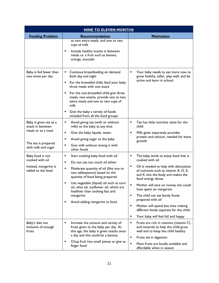| <b>NINE TO ELEVEN MONTHS</b>                                                                                   |                                                                                                                                                                                                                                                                                                                                                                                    |                                                                                                                                                                                                                                                                                                                                                                                                                                                                              |
|----------------------------------------------------------------------------------------------------------------|------------------------------------------------------------------------------------------------------------------------------------------------------------------------------------------------------------------------------------------------------------------------------------------------------------------------------------------------------------------------------------|------------------------------------------------------------------------------------------------------------------------------------------------------------------------------------------------------------------------------------------------------------------------------------------------------------------------------------------------------------------------------------------------------------------------------------------------------------------------------|
| <b>Feeding Problem</b>                                                                                         | Recommendation                                                                                                                                                                                                                                                                                                                                                                     | <b>Motivation</b>                                                                                                                                                                                                                                                                                                                                                                                                                                                            |
|                                                                                                                | to two extra meals, and one to two<br>cups of milk<br>Include healthy snacks in between<br>٠<br>meals i.e. a fruit such as banana,<br>orange, avocado                                                                                                                                                                                                                              |                                                                                                                                                                                                                                                                                                                                                                                                                                                                              |
| Baby is fed fewer than<br>two times per day                                                                    | Continue breastfeeding on demand<br>٠<br>both day and night<br>For the breastfed child, feed your baby<br>٠<br>three meals with one snack<br>For the non-breastfed child give three<br>٠<br>meals, two snacks, provide one to two<br>extra meals and one to two cups of<br>milk<br>Give the baby a variety of foods<br>included from all the food groups                           | Your baby needs to eat more now to<br>٠<br>grow healthy, taller, play well, and be<br>active and learn in school.                                                                                                                                                                                                                                                                                                                                                            |
| Baby is given tea as a<br>snack in between<br>meals or as a meal<br>The tea is prepared<br>with milk and sugar | Avoid giving tea (with or without<br>٠<br>milk) to the baby at any time<br>٠<br>Give the baby liquids, water<br>Avoid giving sugar to the baby<br>٠<br>Give milk without mixing it with<br>٠<br>other foods                                                                                                                                                                        | Tea has little nutritive value for the<br>٠<br>child<br>Milk given separately provides<br>٠<br>protein and calcium, needed for bone<br>growth                                                                                                                                                                                                                                                                                                                                |
| Baby food is not<br>cooked with oil<br>Instead, margarine is<br>added to the food                              | Start cooking baby food with oil<br>٠<br>Do not use too much oil either.<br>٠<br>Moderate quantity of oil (like one to<br>٠<br>two tablespoons) based on the<br>quantity of food being prepared<br>Use vegetable (liquid) oil such as corn<br>٠<br>oil, olive oil, sunflower oil, which are<br>healthier than cooking fats and<br>margarine<br>Avoid adding margarine to food<br>٠ | The baby tends to enjoy food that is<br>٠<br>cooked with oil<br>Oil is needed to help with absorption<br>٠<br>of nutrients such as vitamin A, D, E,<br>and K into the body and makes the<br>food energy dense<br>Mother will save on money she could<br>have spent on margarine<br>The child can eat family foods<br>٠<br>prepared with oil<br>Mother will spend less time making<br>٠<br>different foods separate for the child.<br>Your baby will feel full and happy<br>٠ |
| Baby's diet not<br>inclusive of enough<br>fruits                                                               | ٠<br>Increase the amount and variety of<br>fruits given to the baby per day. At<br>this age, the baby is given snacks once<br>a day and this could be a banana.<br>Chop fruit into small pieces or give as<br>٠<br>finger food                                                                                                                                                     | ٠<br>Fruits are rich in vitamins (vitamin C)<br>and minerals to help the child grow<br>well and to keep the child healthy<br>٠<br>Fruits aid in digestion<br>$\blacksquare$<br>Most fruits are locally available and<br>affordable when in season                                                                                                                                                                                                                            |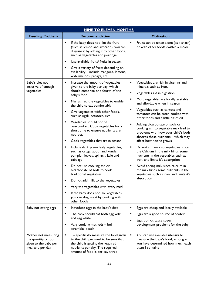| <b>NINE TO ELEVEN MONTHS</b>                                                              |                                                                                                                                                                                                  |                                                                                                                                                           |
|-------------------------------------------------------------------------------------------|--------------------------------------------------------------------------------------------------------------------------------------------------------------------------------------------------|-----------------------------------------------------------------------------------------------------------------------------------------------------------|
| <b>Feeding Problem</b>                                                                    | Recommendation                                                                                                                                                                                   | Motivation                                                                                                                                                |
|                                                                                           | If the baby does not like the fruit<br>٠<br>(such as lemon and avocado), you can<br>disguise it by adding it to other foods,<br>such as vegetables and porridge                                  | Fruits can be eaten alone (as a snack)<br>or with other foods (within a meal)                                                                             |
|                                                                                           | Use available fruits/ fruits in season<br>٠                                                                                                                                                      |                                                                                                                                                           |
|                                                                                           | Give a variety of fruits depending on<br>٠<br>availability - include mangoes, lemons,<br>watermelons, papaya, etc.                                                                               |                                                                                                                                                           |
| Baby's diet not<br>inclusive of enough                                                    | Increase the amount of vegetables<br>٠<br>given to the baby per day, which                                                                                                                       | Vegetables are rich in vitamins and<br>minerals such as iron.                                                                                             |
| vegetables                                                                                | should comprise one-fourth of the<br>baby's food                                                                                                                                                 | Vegetables aid in digestion                                                                                                                               |
|                                                                                           | Mash/shred the vegetables to enable<br>п<br>the child to eat comfortably                                                                                                                         | Most vegetables are locally available<br>and affordable when in season                                                                                    |
|                                                                                           | Give vegetables with other foods,<br>٠<br>such as ugali, potatoes, rice                                                                                                                          | Vegetables such as carrots and<br>tomatoes can be eaten cooked with<br>other foods and a little bit of oil                                                |
|                                                                                           | ٠<br>Vegetables should not be<br>overcooked. Cook vegetables for a<br>short time to ensure nutrients are<br>not lost.                                                                            | Adding bicarbonate of soda or<br>٠<br>cooking ash to vegetable may lead to<br>problems with how your child's body<br>absorbs these nutrients - which may  |
|                                                                                           | ٠<br>Cook vegetables that are in season                                                                                                                                                          | affect how he/she grows.                                                                                                                                  |
|                                                                                           | Include dark green leafy vegetables,<br>٠<br>such as osuga, apoth and kunde,<br>pumpkin leaves, spinach, kale and<br>cabbage                                                                     | Do not add milk to vegetables since<br>٠<br>the Calcium in the milk binds some<br>nutrients in the vegetables such as<br>iron, and limits it's absorption |
|                                                                                           | Do not use cooking ash or<br>п<br>bicarbonate of soda to cook<br>traditional vegetables                                                                                                          | Avoid adding milk since calcium in<br>٠<br>the milk binds some nutrients in the<br>vegetables such as iron, and limits it's                               |
|                                                                                           | Do not add milk to the vegetables<br>٠                                                                                                                                                           | absorption                                                                                                                                                |
|                                                                                           | Vary the vegetables with every meal                                                                                                                                                              |                                                                                                                                                           |
|                                                                                           | If the baby does not like vegetables,<br>you can disguise it by cooking with<br>other foods                                                                                                      |                                                                                                                                                           |
| Baby not eating eggs                                                                      | Introduce eggs in the baby's diet<br>٠                                                                                                                                                           | Eggs are cheap and locally available                                                                                                                      |
|                                                                                           | ٠<br>The baby should eat both egg yolk<br>and egg white                                                                                                                                          | Eggs are a good source of protein<br>Eggs do not cause speech                                                                                             |
|                                                                                           | Vary cooking methods - boil,<br>٠<br>scramble, poach                                                                                                                                             | development problems for the baby                                                                                                                         |
| Mother not measuring<br>the quantity of food<br>given to the baby per<br>meal and per day | To specifically measure the food given<br>٠<br>to the child per meal to be sure that<br>the child is getting the required<br>nutrients per day. The required<br>amount of food is per day three- | You can use available utensils to<br>٠<br>measure the baby's food, as long as<br>you have determined how much each<br>utensil contains                    |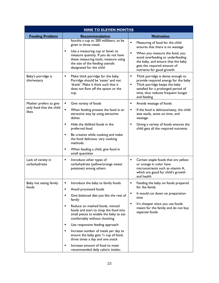| <b>NINE TO ELEVEN MONTHS</b>        |                                                                                                                                                                   |                                                                                                                                                                                                                  |
|-------------------------------------|-------------------------------------------------------------------------------------------------------------------------------------------------------------------|------------------------------------------------------------------------------------------------------------------------------------------------------------------------------------------------------------------|
| <b>Feeding Problem</b>              | Recommendation                                                                                                                                                    | <b>Motivation</b>                                                                                                                                                                                                |
|                                     | fourths a cup or 200 milliliters, to be<br>given in three meals<br>Use a measuring cup or bowl, to<br>٠                                                           | Measuring of food for the child<br>×,<br>ensures that there is no wastage<br>When you measure the food, you                                                                                                      |
|                                     | measure quantity. If you do not have<br>these measuring tools, measure using<br>the size of the feeding utensils<br>designated for the child                      | avoid overfeeding or underfeeding<br>the baby, and ensure that the baby<br>gets the required amount of<br>nutrients for good growth                                                                              |
| Baby's porridge is<br>thin/watery   | Make thick porridge for the baby.<br>٠<br>Porridge should be 'eaten' and not<br>'drank'. Make it thick such that it<br>does not flow off the spoon or the<br>cup. | Thick porridge is dense enough to<br>٠<br>provide required energy for the baby<br>Thick porridge keeps the baby<br>٠<br>satisfied for a prolonged period of<br>time, thus reduces frequent hunger<br>and feeding |
| Mother prefers to give              | Give variety of foods<br>٠                                                                                                                                        | Avoids wastage of foods<br>٠                                                                                                                                                                                     |
| only food that the child<br>likes.  | Ξ<br>When feeding present the food in an<br>attractive way by using attractive<br>dishes                                                                          | If the food is delicious/tasty, the child<br>٠<br>eats easily, saves on time, and<br>wastage.                                                                                                                    |
|                                     | Hide the disliked foods in the<br>٠<br>preferred food                                                                                                             | Giving a variety of foods ensures the<br>child gets all the required nutrients                                                                                                                                   |
|                                     | Be creative while cooking and make<br>٠<br>the food delicious, vary cooking<br>methods.                                                                           |                                                                                                                                                                                                                  |
|                                     | When feeding a child, give food in<br>٠<br>small quantities                                                                                                       |                                                                                                                                                                                                                  |
| Lack of variety in<br>carbohydrates | Introduce other types of<br>٠<br>carbohydrate (yellow/orange sweet<br>potatoes) among others                                                                      | Certain staple foods that are yellow<br>٠<br>or orange in color have<br>micronutrients such as vitamin A,<br>which are good for child's growth<br>and health                                                     |
| Baby not eating family              | Introduce the baby to family foods<br>٠                                                                                                                           | Feeding the baby on foods prepared                                                                                                                                                                               |
| toods                               | Avoid processed foods                                                                                                                                             | for the family                                                                                                                                                                                                   |
|                                     | Give balanced diet just like the rest of<br>п<br>family                                                                                                           | It would cut down on preparation<br>time                                                                                                                                                                         |
|                                     | Reduce on mashed foods, minced<br>٠<br>foods and start to chop the food into<br>small pieces to enable the baby to eat<br>comfortably without chocking            | It's cheaper since you use foods<br>٠<br>meant for the family and do not buy<br>separate foods                                                                                                                   |
|                                     | Use responsive feeding approach<br>٠                                                                                                                              |                                                                                                                                                                                                                  |
|                                     | Increase number of meals per day to<br>٠<br>ensure the baby gets $\frac{3}{4}$ cup of food,<br>three times a day and one snack                                    |                                                                                                                                                                                                                  |
|                                     | Increase amount of food to meet<br>٠<br>recommended daily caloric intake;                                                                                         |                                                                                                                                                                                                                  |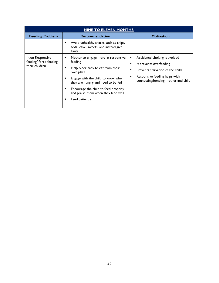| <b>NINE TO ELEVEN MONTHS</b>                               |                                                                                                                                                                                                                                                                                              |                                                                                                                                                                                     |  |
|------------------------------------------------------------|----------------------------------------------------------------------------------------------------------------------------------------------------------------------------------------------------------------------------------------------------------------------------------------------|-------------------------------------------------------------------------------------------------------------------------------------------------------------------------------------|--|
| <b>Feeding Problem</b>                                     | <b>Recommendation</b>                                                                                                                                                                                                                                                                        | <b>Motivation</b>                                                                                                                                                                   |  |
|                                                            | Avoid unhealthy snacks such as chips,<br>soda, cake, sweets, and instead give<br>fruits                                                                                                                                                                                                      |                                                                                                                                                                                     |  |
| Non Responsive<br>feeding/ force-feeding<br>their children | Mother to engage more in responsive<br>٠<br>feeding<br>Help older baby to eat from their<br>٠<br>own plate<br>Engage with the child to know when<br>they are hungry and need to be fed<br>Encourage the child to feed properly<br>٠<br>and praise them when they feed well<br>Feed patiently | Accidental choking is avoided<br>٠<br>It prevents overfeeding<br>Prevents starvation of the child<br>٠<br>Responsive feeding helps with<br>٠<br>connecting/bonding mother and child |  |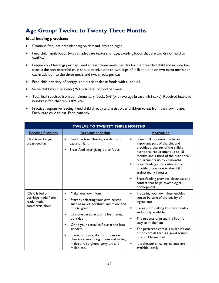# <span id="page-28-0"></span>**Age Group: Twelve to Twenty Three Months**

#### **Ideal feeding practices:**

- Continue frequent breastfeeding on demand, day and night.
- Feed child family foods (with an adequate texture for age, avoiding foods that are too dry or hard to swallow).
- Frequency of feedings per day: Feed at least three meals per day for the breastfed child and include two snacks; the non-breastfed child should receive one to two cups of milk and one or two extra meals per day in addition to the three meals and two snacks per day.
- Feed child a variety of energy- and nutrient-dense foods with a little oil.
- Serve child about one cup (250 milliliters) of food per meal.
- Total kcal required from complementary foods: 548 (with average breastmilk intake). Required intake for non-breastfed children is 894 kcal.
- Practice responsive feeding. Feed child directly and assist older children to eat from their own plate. Encourage child to eat. Feed patiently.

| <b>TWELVE TO TWENTY THREE MONTHS</b>                                     |                                                                                                                                                |                                                                                                                                                                                                                                                                                                                             |
|--------------------------------------------------------------------------|------------------------------------------------------------------------------------------------------------------------------------------------|-----------------------------------------------------------------------------------------------------------------------------------------------------------------------------------------------------------------------------------------------------------------------------------------------------------------------------|
| <b>Feeding Problem</b>                                                   | Recommendation                                                                                                                                 | <b>Motivation</b>                                                                                                                                                                                                                                                                                                           |
| Child is no longer<br>breastfeeding                                      | Continue breastfeeding on demand,<br>day and night<br>Breastfeed after giving other foods<br>٠                                                 | Breastmilk continues to be an<br>٠<br>important part of the diet and<br>provides a quarter of the child's<br>nutritional requirement up to 18<br>months and a third of the nutritional<br>requirements up to 24 months<br>Breastfeeding also continues to<br>٠<br>provide protection to the child<br>against many illnesses |
|                                                                          |                                                                                                                                                | Breastfeeding provides closeness and<br>٠<br>contact that helps psychological<br>development                                                                                                                                                                                                                                |
| Child is fed on<br>porridge made from<br>ready-made,<br>commercial flour | Make your own flour<br>٠<br>Start by selecting your own cereals,<br>٠<br>such as millet, sorghum and maize and<br>mix to grind                 | Preparing your own flour enables<br>٠<br>you to be sure of the quality of<br>ingredients<br>Cereals for making flour are readily<br>٠                                                                                                                                                                                       |
|                                                                          | Use one cereal at a time for making<br>٠<br>porridge<br>Grind your cereal to flour at the local<br>٠                                           | and locally available<br>The process of preparing flour is<br>٠<br>easy to implement                                                                                                                                                                                                                                        |
|                                                                          | grinders<br>If you must mix, do not mix more<br>٠<br>than two cereals e.g. maize and millet;<br>maize and sorghum; sorghum and<br>millet, etc. | The preferred cereal is millet it's one<br>٠<br>of the cereals that is a good source<br>of iron if fermented<br>It is cheaper since ingredients are<br>٠<br>available locally                                                                                                                                               |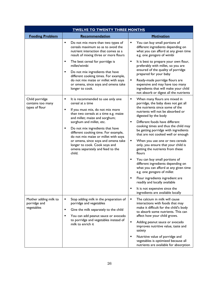| <b>TWELVE TO TWENTY THREE MONTHS</b>                  |                                                                                                                                                                                                                                                                                                                                                                                                                                                           |                                                                                                                                                                                                                                                                                                                                                                                                                                                                                                                                                                                                                                                                                                                                                                    |
|-------------------------------------------------------|-----------------------------------------------------------------------------------------------------------------------------------------------------------------------------------------------------------------------------------------------------------------------------------------------------------------------------------------------------------------------------------------------------------------------------------------------------------|--------------------------------------------------------------------------------------------------------------------------------------------------------------------------------------------------------------------------------------------------------------------------------------------------------------------------------------------------------------------------------------------------------------------------------------------------------------------------------------------------------------------------------------------------------------------------------------------------------------------------------------------------------------------------------------------------------------------------------------------------------------------|
| <b>Feeding Problem</b>                                | Recommendation                                                                                                                                                                                                                                                                                                                                                                                                                                            | <b>Motivation</b>                                                                                                                                                                                                                                                                                                                                                                                                                                                                                                                                                                                                                                                                                                                                                  |
|                                                       | Ξ<br>Do not mix more than two types of<br>cereals maximum so as to avoid the<br>nutrient interaction that comes as a<br>result of mixing three or more flours                                                                                                                                                                                                                                                                                             | You can buy small portions of<br>different ingredients depending on<br>what you can afford at any given time<br>e.g. one gorogoro of wimbi                                                                                                                                                                                                                                                                                                                                                                                                                                                                                                                                                                                                                         |
|                                                       | The best cereal for porridge is<br>٠<br>millet/wimbi<br>$\blacksquare$<br>Do not mix ingredients that have<br>different cooking times. For example,<br>do not mix maize or millet with soya<br>or omena, since soya and omena take<br>longer to cook.                                                                                                                                                                                                     | It is best to prepare your own flour,<br>٠<br>preferably with millet, so you are<br>ensured of the quality of porridge<br>prepared for your baby<br>Ready-made porridge flours are<br>expensive and may have too many<br>ingredients that will make your child<br>not absorb or digest all the nutrients                                                                                                                                                                                                                                                                                                                                                                                                                                                           |
| Child porridge<br>contains too many<br>types of flour | It is recommended to use only one<br>٠<br>cereal at a time<br>If you must mix, do not mix more<br>٠<br>than two cereals at a time e.g. maize<br>and millet; maize and sorghum;<br>sorghum and millet, etc.<br>٠<br>Do not mix ingredients that have<br>different cooking time. For example,<br>do not mix maize or millet with soya<br>or omena, since soya and omena take<br>longer to cook. Cook soya and<br>omena separately and feed to the<br>child. | When many flours are mixed in<br>٠<br>porridge, the baby does not get all<br>the nutrients since some of the<br>nutrients will not be absorbed or<br>digested by the body<br>Different foods have different<br>٠<br>cooking times and thus the child may<br>be getting porridge with ingredients<br>that are not cooked well or enough<br>When you use one or two cereals<br>٠<br>only, you ensure that your child is<br>getting the nutrients from these<br>flours<br>You can buy small portions of<br>٠<br>different ingredients depending on<br>what you can afford at any given time<br>e.g. one gorogoro of millet<br>Flour ingredients ingredient are<br>readily and locally available<br>It is not expensive since the<br>ingredients are available locally |
| Mother adding milk to<br>porridge and<br>vegetables   | Stop adding milk in the preparation of<br>٠<br>porridge and vegetables<br>٠<br>Give the milk separately to the child<br>You can add peanut sauce or avocado<br>٠<br>to porridge and vegetables instead of<br>milk to enrich it                                                                                                                                                                                                                            | The calcium in milk will cause<br>٠<br>interactions with foods that may<br>make it difficult for the child's body<br>to absorb some nutrients. This can<br>affect how your child grows.<br>$\blacksquare$<br>Adding peanut sauce or avocado<br>improves nutritive value, taste and<br>satiety<br>Nutritive value of porridge and<br>٠<br>vegetables is optimized because all<br>nutrients are available for absorption                                                                                                                                                                                                                                                                                                                                             |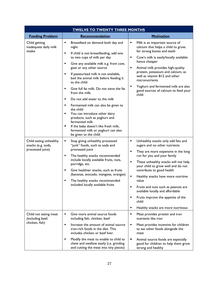| <b>TWELVE TO TWENTY THREE MONTHS</b>                             |                                                                                                                                                                                                                                                                                                                                                                                                                                                                                                                                                                                 |                                                                                                                                                                                                                                                                                                                                                                                                                                                                                                   |
|------------------------------------------------------------------|---------------------------------------------------------------------------------------------------------------------------------------------------------------------------------------------------------------------------------------------------------------------------------------------------------------------------------------------------------------------------------------------------------------------------------------------------------------------------------------------------------------------------------------------------------------------------------|---------------------------------------------------------------------------------------------------------------------------------------------------------------------------------------------------------------------------------------------------------------------------------------------------------------------------------------------------------------------------------------------------------------------------------------------------------------------------------------------------|
| <b>Feeding Problem</b>                                           | Recommendation                                                                                                                                                                                                                                                                                                                                                                                                                                                                                                                                                                  | <b>Motivation</b>                                                                                                                                                                                                                                                                                                                                                                                                                                                                                 |
| Child getting<br>inadequate daily milk<br>intake                 | ٠<br>Breastfeed on demand both day and<br>night<br>If child is not breastfeeding, add one<br>٠<br>to two cups of milk per day                                                                                                                                                                                                                                                                                                                                                                                                                                                   | Milk is an important source of<br>п<br>calcium that helps a child to grow,<br>for strong bones and teeth                                                                                                                                                                                                                                                                                                                                                                                          |
|                                                                  | ٠<br>Give any available milk e.g. from cow,<br>goat or any other source<br>$\blacksquare$<br>If pasteurized milk is not available,<br>boil the animal milk before feeding it<br>to the child<br>Give full fat milk. Do not sieve the fat<br>٠<br>from the milk.<br>Do not add water to the milk<br>$\blacksquare$<br>Fermented milk can also be given to<br>٠<br>the child<br>You can introduce other dairy<br>٠<br>products, such as yoghurt and<br>fermented milk<br>If the baby doesn't like fresh milk,<br>٠<br>fermented milk or yoghurt can also<br>be given to the child | Cow's milk is easily/locally available<br>٠<br>hence cheaper<br>Animal milk provides high-quality<br>٠<br>protein, potassium and calcium, as<br>well as vitamin B12 and other<br>micronutrients<br>Yoghurt and fermented milk are also<br>good sources of calcium to feed your<br>child                                                                                                                                                                                                           |
| Child eating unhealthy<br>snacks (e.g. soda,<br>processed juice) | Stop giving unhealthy processed<br>٠<br>"junk" foods, such as soda and<br>processed juice<br>The healthy snacks recommended<br>٠<br>include locally available fruits, nuts,<br>porridge, etc.<br>Give healthier snacks, such as fruits<br>٠<br>(bananas, avocado, mangoes, oranges)<br>$\blacksquare$<br>The healthy snacks recommended<br>included locally available fruits                                                                                                                                                                                                    | Unhealthy snacks only add fats and<br>٠<br>sugars and no other nutrients<br>They are more expensive in the long<br>٠<br>run for you and your family<br>Ξ<br>These unhealthy snacks will not help<br>your child to grow well and do not<br>contribute to good health<br>٠<br>Healthy snacks have more nutritive<br>value<br>Fruits and nuts such as peanuts are<br>available locally and affordable<br>Fruits improve the appetite of the<br>٠<br>child<br>Healthy snacks are more nutritious<br>٠ |
| Child not eating meat<br>(including beef,<br>chicken, fish)      | Give more animal source foods<br>٠<br>including fish, chicken, beef<br>$\blacksquare$<br>Increase the amount of animal source<br>iron-rich foods in the diet. This<br>includes chicken or beef liver.<br>Modify the meat to enable to child to<br>٠<br>chew and swallow easily (i.e. grinding<br>and cutting the meat into tiny pieces)                                                                                                                                                                                                                                         | ٠<br>Meat provides protein and iron<br>nutrients like iron<br>Meat provides incentive for children<br>п<br>to eat other foods alongside the<br>meat<br>Animal source foods are especially<br>٠<br>good for children to help them grow<br>strong and healthy                                                                                                                                                                                                                                       |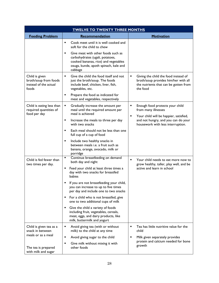| <b>TWELVE TO TWENTY THREE MONTHS</b>                                      |                                                                                                                                                        |                                                                                                                                   |  |
|---------------------------------------------------------------------------|--------------------------------------------------------------------------------------------------------------------------------------------------------|-----------------------------------------------------------------------------------------------------------------------------------|--|
| <b>Feeding Problem</b>                                                    | Recommendation                                                                                                                                         | <b>Motivation</b>                                                                                                                 |  |
|                                                                           | Cook meet until it is well cooked and<br>٠<br>soft for the child to chew<br>Give meat with other foods such as<br>٠                                    |                                                                                                                                   |  |
|                                                                           | carbohydrates (ugali, potatoes,<br>cooked bananas, rice) and vegetables<br>osuga, kunde, apoth spinach, kale and<br>cabbage                            |                                                                                                                                   |  |
| Child is given<br>broth/soup from foods<br>instead of the actual<br>foods | Give the child the food itself and not<br>$\blacksquare$<br>just the broth/soup. The foods<br>include beef, chicken, liver, fish,<br>vegetables, etc.  | Giving the child the food instead of<br>broth/soup provides him/her with all<br>the nutrients that can be gotten from<br>the food |  |
|                                                                           | Prepare the food as indicated for<br>٠<br>meat and vegetables, respectively                                                                            |                                                                                                                                   |  |
| Child is eating less than<br>required quantities of                       | Gradually increase the amount per<br>٠<br>meal until the required amount per<br>meal is achieved                                                       | Enough food protects your child<br>٠<br>from many illnesses                                                                       |  |
| food per day                                                              | Increase the meals to three per day<br>٠<br>with two snacks                                                                                            | Your child will be happier, satisfied,<br>٠<br>and not hungry, and you can do your<br>housework with less interruption.           |  |
|                                                                           | Each meal should not be less than one<br>٠<br>full cup of a cup of food                                                                                |                                                                                                                                   |  |
|                                                                           | Include two healthy snacks in<br>٠<br>between meals i.e. a fruit such as<br>banana, orange, avocado, milk or<br>porridge                               |                                                                                                                                   |  |
| Child is fed fewer than<br>two times per day.                             | Continue breastfeeding on demand<br>٠<br>both day and night                                                                                            | Your child needs to eat more now to<br>٠<br>grow healthy, taller, play well, and be                                               |  |
|                                                                           | Feed your child at least three times a<br>day with two snacks for breastfed<br>babies                                                                  | active and learn in school                                                                                                        |  |
|                                                                           | If you are not breastfeeding your child,<br>you can increase to up to five times<br>per day and include one to two snacks                              |                                                                                                                                   |  |
|                                                                           | For a child who is not breastfed, give<br>one to two additional cups of milk                                                                           |                                                                                                                                   |  |
|                                                                           | Give the child a variety of foods<br>٠<br>including fruit, vegetables, cereals,<br>meat, eggs, and dairy products, like<br>milk, buttermilk and yogurt |                                                                                                                                   |  |
| Child is given tea as a<br>snack in between<br>meals or as a meal         | ٠<br>Avoid giving tea (with or without<br>milk) to the child at any time                                                                               | Tea has little nutritive value for the<br>٠<br>child                                                                              |  |
|                                                                           | Avoid giving sugar to the child<br>٠                                                                                                                   | Milk given separately provides                                                                                                    |  |
| The tea is prepared<br>with milk and sugar                                | Give milk without mixing it with<br>٠<br>other foods                                                                                                   | protein and calcium needed for bone<br>growth                                                                                     |  |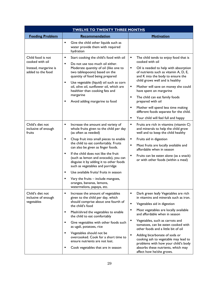| <b>TWELVE TO TWENTY THREE MONTHS</b>                                               |                                                                                                                                                                                                                                                                                                                                                                                                                                                                                                                                                                        |                                                                                                                                                                                                                                                                                                                                                                                                                                                                                                                                 |  |
|------------------------------------------------------------------------------------|------------------------------------------------------------------------------------------------------------------------------------------------------------------------------------------------------------------------------------------------------------------------------------------------------------------------------------------------------------------------------------------------------------------------------------------------------------------------------------------------------------------------------------------------------------------------|---------------------------------------------------------------------------------------------------------------------------------------------------------------------------------------------------------------------------------------------------------------------------------------------------------------------------------------------------------------------------------------------------------------------------------------------------------------------------------------------------------------------------------|--|
| <b>Feeding Problem</b>                                                             | Recommendation                                                                                                                                                                                                                                                                                                                                                                                                                                                                                                                                                         | <b>Motivation</b>                                                                                                                                                                                                                                                                                                                                                                                                                                                                                                               |  |
|                                                                                    | Give the child other liquids such as<br>٠<br>water provide them with required<br>hydration                                                                                                                                                                                                                                                                                                                                                                                                                                                                             |                                                                                                                                                                                                                                                                                                                                                                                                                                                                                                                                 |  |
| Child food is not<br>cooked with oil<br>Instead, margarine is<br>added to the food | ٠<br>Start cooking the child's food with oil<br>Do not use too much oil either.<br>$\blacksquare$<br>Moderate quantity of oil (like one to<br>two tablespoons) based on the<br>quantity of food being prepared<br>Use vegetable (liquid) oil such as corn<br>٠<br>oil, olive oil, sunflower oil, which are<br>healthier than cooking fats and<br>margarine<br>Avoid adding margarine to food                                                                                                                                                                           | The child tends to enjoy food that is<br>٠<br>cooked with oil<br>Oil is needed to help with absorption<br>٠<br>of nutrients such as vitamin A, D, E,<br>and K into the body to ensure the<br>child grows well and is healthy<br>Mother will save on money she could<br>٠<br>have spent on margarine<br>The child can eat family foods<br>٠<br>prepared with oil<br>Mother will spend less time making<br>٠<br>different foods separate for the child.<br>٠<br>Your child will feel full and happy                               |  |
| Child's diet not<br>inclusive of enough<br>fruits                                  | Increase the amount and variety of<br>٠<br>whole fruits given to the child per day<br>(as often as needed)<br>Chop fruit into small pieces to enable<br>٠<br>the child to eat comfortably. Fruits<br>can also be given as finger foods.<br>If the child does not like the fruit<br>$\blacksquare$<br>(such as lemon and avocado), you can<br>disguise it by adding it to other foods<br>such as vegetables and porridge<br>Use available fruits/ fruits in season<br>٠<br>Vary the fruits - include mangoes,<br>oranges, bananas, lemons,<br>watermelons, papaya, etc. | Fruits are rich in vitamins (vitamin C)<br>٠<br>and minerals to help the child grow<br>well and to keep the child healthy<br>Fruits aid in digestion<br>٠<br>$\blacksquare$<br>Most fruits are locally available and<br>affordable when in season<br>٠<br>Fruits can be eaten alone (as a snack)<br>or with other foods (within a meal)                                                                                                                                                                                         |  |
| Child's diet not<br>inclusive of enough<br>vegetables                              | ٠<br>Increase the amount of vegetables<br>given to the child per day, which<br>should comprise about one fourth of<br>the child's food<br>Mash/shred the vegetables to enable<br>٠<br>the child to eat comfortably<br>Give vegetables with other foods such<br>٠<br>as ugali, potatoes, rice<br>$\blacksquare$<br>Vegetables should not be<br>overcooked. Cook for a short time to<br>ensure nutrients are not lost.<br>Cook vegetables that are in season<br>٠                                                                                                        | Dark green leafy Vegetables are rich<br>٠<br>in vitamins and minerals such as iron.<br>$\blacksquare$<br>Vegetables aid in digestion<br>Most vegetables are locally available<br>٠<br>and affordable when in season<br>Vegetables, such as carrots and<br>٠<br>tomatoes, can be eaten cooked with<br>other foods and a little bit of oil<br>Adding bicarbonate of soda or<br>٠<br>cooking ash to vegetable may lead to<br>problems with how your child's body<br>absorbs these nutrients, which may<br>affect how he/she grows. |  |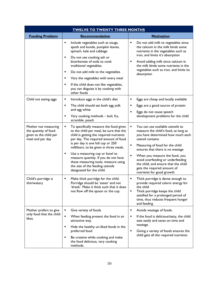| <b>TWELVE TO TWENTY THREE MONTHS</b>                                                       |                                                                                                                                                                                                                                                                                                                                           |                                                                                                                                                                                                                                                                                                 |  |
|--------------------------------------------------------------------------------------------|-------------------------------------------------------------------------------------------------------------------------------------------------------------------------------------------------------------------------------------------------------------------------------------------------------------------------------------------|-------------------------------------------------------------------------------------------------------------------------------------------------------------------------------------------------------------------------------------------------------------------------------------------------|--|
| <b>Feeding Problem</b>                                                                     | Recommendation                                                                                                                                                                                                                                                                                                                            | <b>Motivation</b>                                                                                                                                                                                                                                                                               |  |
|                                                                                            | Include vegetables such as osuga,<br>п<br>apoth and kunde, pumpkin leaves,<br>spinach, kale and cabbage<br>Do not use cooking ash or<br>٠                                                                                                                                                                                                 | Do not add milk to vegetables since<br>п<br>the calcium in the milk binds some<br>nutrients in the vegetables such as<br>iron, and limits it's absorption                                                                                                                                       |  |
|                                                                                            | bicarbonate of soda to cook<br>traditional vegetables.                                                                                                                                                                                                                                                                                    | Avoid adding milk since calcium in<br>٠<br>the milk binds some nutrients in the<br>vegetables such as iron, and limits its                                                                                                                                                                      |  |
|                                                                                            | Do not add milk to the vegetables<br>٠                                                                                                                                                                                                                                                                                                    | absorption                                                                                                                                                                                                                                                                                      |  |
|                                                                                            | Vary the vegetables with every meal<br>٠                                                                                                                                                                                                                                                                                                  |                                                                                                                                                                                                                                                                                                 |  |
|                                                                                            | If the child does not like vegetables,<br>٠<br>you can disguise it by cooking with<br>other foods                                                                                                                                                                                                                                         |                                                                                                                                                                                                                                                                                                 |  |
| Child not eating eggs                                                                      | Introduce eggs in the child's diet<br>Е                                                                                                                                                                                                                                                                                                   | Eggs are cheap and locally available                                                                                                                                                                                                                                                            |  |
|                                                                                            | Ξ<br>The child should eat both egg yolk<br>and egg white                                                                                                                                                                                                                                                                                  | Eggs are a good source of protein                                                                                                                                                                                                                                                               |  |
|                                                                                            | Vary cooking methods - boil, fry,<br>٠<br>scramble, poach                                                                                                                                                                                                                                                                                 | Eggs do not cause speech<br>development problems for the child                                                                                                                                                                                                                                  |  |
| Mother not measuring<br>the quantity of food<br>given to the child per<br>meal and per day | ٠<br>To specifically measure the food given<br>to the child per meal, be sure that the<br>child is getting the required nutrients<br>per day. The required amount of food<br>is per day is one full cup or 250<br>milliliters, to be given in three meals.<br>Use a measuring cup or bowl to<br>٠<br>measure quantity. If you do not have | You can use available utensils to<br>٠<br>measure the child's food, as long as<br>you have determined how much each<br>utensil contains<br>Measuring of food for the child<br>п<br>ensures that there is no wastage<br>When you measure the food, you<br>٠<br>avoid overfeeding or underfeeding |  |
|                                                                                            | these measuring tools, measure using<br>the size of the feeding utensils<br>designated for the child.                                                                                                                                                                                                                                     | the child, and ensure that the child<br>gets the required amount of<br>nutrients for good growth                                                                                                                                                                                                |  |
| Child's porridge is<br>thin/watery                                                         | Make thick porridge for the child.<br>Porridge should be 'eaten' and not<br>'drank'. Make it thick such that it does<br>not flow off the spoon or the cup.                                                                                                                                                                                | Thick porridge is dense enough to<br>provide required caloric energy for<br>the child<br>Thick porridge keeps the child<br>satisfied for a prolonged period of<br>time, thus reduces frequent hunger<br>and feeding                                                                             |  |
| Mother prefers to give<br>only food that the child<br>likes.                               | Give variety of foods<br>٠                                                                                                                                                                                                                                                                                                                | Avoids wastage of foods.<br>٠                                                                                                                                                                                                                                                                   |  |
|                                                                                            | $\blacksquare$<br>When feeding present the food in an<br>attractive way.<br>٠                                                                                                                                                                                                                                                             | If the food is delicious/tasty, the child<br>п<br>eats easily and saves on time and<br>wastage.                                                                                                                                                                                                 |  |
|                                                                                            | Hide the healthy un-liked foods in the<br>preferred food                                                                                                                                                                                                                                                                                  | Giving a variety of foods ensures the<br>٠                                                                                                                                                                                                                                                      |  |
|                                                                                            | Be creative while cooking and make<br>٠<br>the food delicious, vary cooking<br>methods.                                                                                                                                                                                                                                                   | child gets all the required nutrients                                                                                                                                                                                                                                                           |  |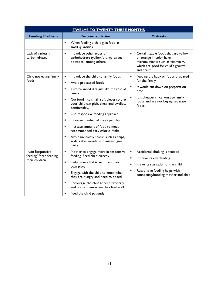| <b>TWELVE TO TWENTY THREE MONTHS</b>                       |                                                                                                                     |                                                                                                                                                                           |
|------------------------------------------------------------|---------------------------------------------------------------------------------------------------------------------|---------------------------------------------------------------------------------------------------------------------------------------------------------------------------|
| <b>Feeding Problem</b>                                     | Recommendation                                                                                                      | <b>Motivation</b>                                                                                                                                                         |
|                                                            | $\blacksquare$<br>When feeding a child give food in<br>small quantities.                                            |                                                                                                                                                                           |
| Lack of variety in<br>carbohydrates                        | Introduce other types of<br>٠<br>carbohydrate (yellow/orange sweet<br>potatoes) among others                        | Certain staple foods that are yellow<br>$\blacksquare$<br>or orange in color have<br>micronutrients such as vitamin A,<br>which are good for child's growth<br>and health |
| Child not eating family<br>foods                           | Introduce the child to family foods<br>٠<br>$\blacksquare$<br>Avoid processed foods                                 | Feeding the baby on foods prepared<br>٠<br>for the family                                                                                                                 |
|                                                            | Give balanced diet just like the rest of<br>$\blacksquare$<br>family                                                | It would cut down on preparation<br>٠<br>time                                                                                                                             |
|                                                            | Cut food into small, soft pieces so that<br>$\blacksquare$<br>your child can pick, chew and swallow<br>comfortably. | It is cheaper since you use family<br>foods and are not buying separate<br>foods                                                                                          |
|                                                            | Use responsive feeding approach<br>$\blacksquare$                                                                   |                                                                                                                                                                           |
|                                                            | Increase number of meals per day<br>$\blacksquare$                                                                  |                                                                                                                                                                           |
|                                                            | Increase amount of food to meet<br>$\blacksquare$<br>recommended daily caloric intake;                              |                                                                                                                                                                           |
|                                                            | Avoid unhealthy snacks such as chips,<br>$\blacksquare$<br>soda, cake, sweets, and instead give<br>fruits           |                                                                                                                                                                           |
| Non Responsive<br>feeding/ force-feeding<br>their children | $\blacksquare$<br>Mother to engage more in responsive<br>feeding. Feed child directly.                              | Accidental choking is avoided<br>٠<br>It prevents overfeeding<br>٠                                                                                                        |
|                                                            | Help older child to eat from their<br>$\blacksquare$<br>own plate                                                   | Prevents starvation of the child<br>٠                                                                                                                                     |
|                                                            | Engage with the child to know when<br>they are hungry and need to be fed                                            | $\blacksquare$<br>Responsive feeding helps with<br>connecting/bonding mother and child                                                                                    |
|                                                            | Encourage the child to feed properly<br>٠<br>and praise them when they feed well                                    |                                                                                                                                                                           |
|                                                            | Feed the child patiently                                                                                            |                                                                                                                                                                           |